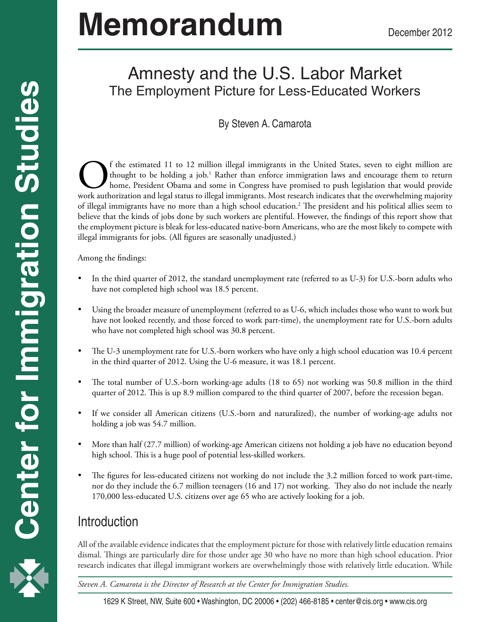# **Memorandum**

# Amnesty and the U.S. Labor Market The Employment Picture for Less-Educated Workers

#### By Steven A. Camarota

The estimated 11 to 12 million illegal immigrants in the United States, seven to eight million are thought to be holding a job.<sup>1</sup> Rather than enforce immigration laws and encourage them to return home, President Obama and thought to be holding a job.<sup>1</sup> Rather than enforce immigration laws and encourage them to return home, President Obama and some in Congress have promised to push legislation that would provide work authorization and legal status to illegal immigrants. Most research indicates that the overwhelming majority of illegal immigrants have no more than a high school education.2 The president and his political allies seem to believe that the kinds of jobs done by such workers are plentiful. However, the findings of this report show that the employment picture is bleak for less-educated native-born Americans, who are the most likely to compete with illegal immigrants for jobs. (All figures are seasonally unadjusted.)

Among the findings:

- In the third quarter of 2012, the standard unemployment rate (referred to as  $U-3$ ) for  $U.S.$ -born adults who have not completed high school was 18.5 percent.
- Using the broader measure of unemployment (referred to as U-6, which includes those who want to work but have not looked recently, and those forced to work part-time), the unemployment rate for U.S.-born adults who have not completed high school was 30.8 percent.
- The U-3 unemployment rate for U.S.-born workers who have only a high school education was 10.4 percent in the third quarter of 2012. Using the U-6 measure, it was 18.1 percent.
- The total number of U.S.-born working-age adults  $(18 \text{ to } 65)$  not working was 50.8 million in the third quarter of 2012. This is up 8.9 million compared to the third quarter of 2007, before the recession began.
- If we consider all American citizens (U.S.-born and naturalized), the number of working-age adults not holding a job was 54.7 million.
- More than half (27.7 million) of working-age American citizens not holding a job have no education beyond high school. This is a huge pool of potential less-skilled workers.
- The figures for less-educated citizens not working do not include the 3.2 million forced to work part-time, nor do they include the 6.7 million teenagers (16 and 17) not working. They also do not include the nearly 170,000 less-educated U.S. citizens over age 65 who are actively looking for a job.

## **Introduction**

All of the available evidence indicates that the employment picture for those with relatively little education remains dismal. Things are particularly dire for those under age 30 who have no more than high school education. Prior research indicates that illegal immigrant workers are overwhelmingly those with relatively little education. While

1 *Steven A. Camarota is the Director of Research at the Center for Immigration Studies.*

1629 K Street, NW, Suite 600 • Washington, DC 20006 • (202) 466-8185 • center@cis.org • www.cis.org

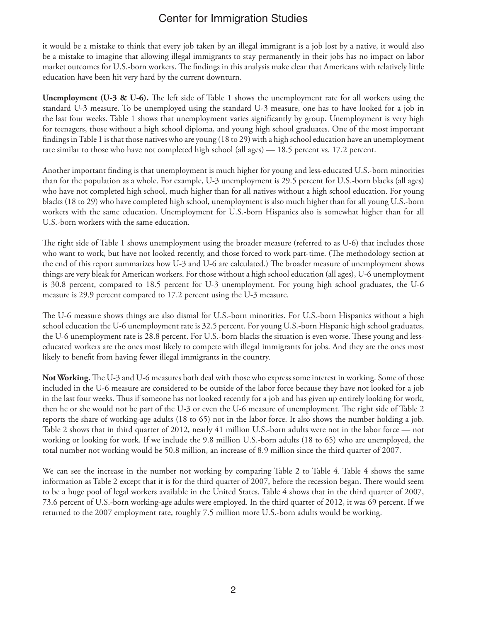it would be a mistake to think that every job taken by an illegal immigrant is a job lost by a native, it would also be a mistake to imagine that allowing illegal immigrants to stay permanently in their jobs has no impact on labor market outcomes for U.S.-born workers. The findings in this analysis make clear that Americans with relatively little education have been hit very hard by the current downturn.

**Unemployment (U-3 & U-6).** The left side of Table 1 shows the unemployment rate for all workers using the standard U-3 measure. To be unemployed using the standard U-3 measure, one has to have looked for a job in the last four weeks. Table 1 shows that unemployment varies significantly by group. Unemployment is very high for teenagers, those without a high school diploma, and young high school graduates. One of the most important findings in Table 1 is that those natives who are young (18 to 29) with a high school education have an unemployment rate similar to those who have not completed high school (all ages) — 18.5 percent vs. 17.2 percent.

Another important finding is that unemployment is much higher for young and less-educated U.S.-born minorities than for the population as a whole. For example, U-3 unemployment is 29.5 percent for U.S.-born blacks (all ages) who have not completed high school, much higher than for all natives without a high school education. For young blacks (18 to 29) who have completed high school, unemployment is also much higher than for all young U.S.-born workers with the same education. Unemployment for U.S.-born Hispanics also is somewhat higher than for all U.S.-born workers with the same education.

The right side of Table 1 shows unemployment using the broader measure (referred to as U-6) that includes those who want to work, but have not looked recently, and those forced to work part-time. (The methodology section at the end of this report summarizes how U-3 and U-6 are calculated.) The broader measure of unemployment shows things are very bleak for American workers. For those without a high school education (all ages), U-6 unemployment is 30.8 percent, compared to 18.5 percent for U-3 unemployment. For young high school graduates, the U-6 measure is 29.9 percent compared to 17.2 percent using the U-3 measure.

The U-6 measure shows things are also dismal for U.S.-born minorities. For U.S.-born Hispanics without a high school education the U-6 unemployment rate is 32.5 percent. For young U.S.-born Hispanic high school graduates, the U-6 unemployment rate is 28.8 percent. For U.S.-born blacks the situation is even worse. These young and lesseducated workers are the ones most likely to compete with illegal immigrants for jobs. And they are the ones most likely to benefit from having fewer illegal immigrants in the country.

**Not Working.** The U-3 and U-6 measures both deal with those who express some interest in working. Some of those included in the U-6 measure are considered to be outside of the labor force because they have not looked for a job in the last four weeks. Thus if someone has not looked recently for a job and has given up entirely looking for work, then he or she would not be part of the U-3 or even the U-6 measure of unemployment. The right side of Table 2 reports the share of working-age adults (18 to 65) not in the labor force. It also shows the number holding a job. Table 2 shows that in third quarter of 2012, nearly 41 million U.S.-born adults were not in the labor force — not working or looking for work. If we include the 9.8 million U.S.-born adults (18 to 65) who are unemployed, the total number not working would be 50.8 million, an increase of 8.9 million since the third quarter of 2007.

We can see the increase in the number not working by comparing Table 2 to Table 4. Table 4 shows the same information as Table 2 except that it is for the third quarter of 2007, before the recession began. There would seem to be a huge pool of legal workers available in the United States. Table 4 shows that in the third quarter of 2007, 73.6 percent of U.S.-born working-age adults were employed. In the third quarter of 2012, it was 69 percent. If we returned to the 2007 employment rate, roughly 7.5 million more U.S.-born adults would be working.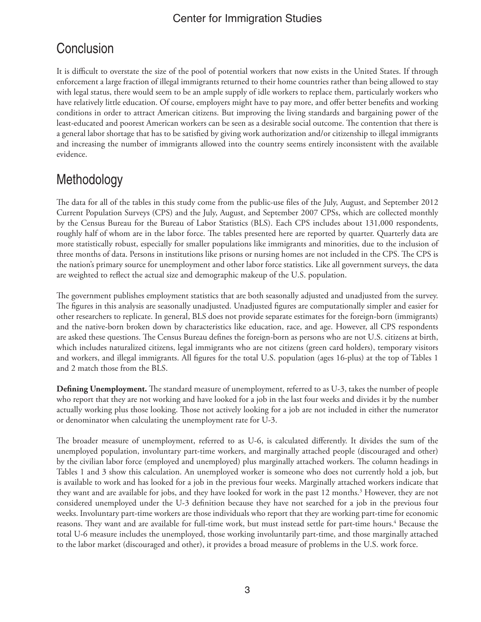# **Conclusion**

It is difficult to overstate the size of the pool of potential workers that now exists in the United States. If through enforcement a large fraction of illegal immigrants returned to their home countries rather than being allowed to stay with legal status, there would seem to be an ample supply of idle workers to replace them, particularly workers who have relatively little education. Of course, employers might have to pay more, and offer better benefits and working conditions in order to attract American citizens. But improving the living standards and bargaining power of the least-educated and poorest American workers can be seen as a desirable social outcome. The contention that there is a general labor shortage that has to be satisfied by giving work authorization and/or citizenship to illegal immigrants and increasing the number of immigrants allowed into the country seems entirely inconsistent with the available evidence.

# Methodology

The data for all of the tables in this study come from the public-use files of the July, August, and September 2012 Current Population Surveys (CPS) and the July, August, and September 2007 CPSs, which are collected monthly by the Census Bureau for the Bureau of Labor Statistics (BLS). Each CPS includes about 131,000 respondents, roughly half of whom are in the labor force. The tables presented here are reported by quarter. Quarterly data are more statistically robust, especially for smaller populations like immigrants and minorities, due to the inclusion of three months of data. Persons in institutions like prisons or nursing homes are not included in the CPS. The CPS is the nation's primary source for unemployment and other labor force statistics. Like all government surveys, the data are weighted to reflect the actual size and demographic makeup of the U.S. population.

The government publishes employment statistics that are both seasonally adjusted and unadjusted from the survey. The figures in this analysis are seasonally unadjusted. Unadjusted figures are computationally simpler and easier for other researchers to replicate. In general, BLS does not provide separate estimates for the foreign-born (immigrants) and the native-born broken down by characteristics like education, race, and age. However, all CPS respondents are asked these questions. The Census Bureau defines the foreign-born as persons who are not U.S. citizens at birth, which includes naturalized citizens, legal immigrants who are not citizens (green card holders), temporary visitors and workers, and illegal immigrants. All figures for the total U.S. population (ages 16-plus) at the top of Tables 1 and 2 match those from the BLS.

**Defining Unemployment.** The standard measure of unemployment, referred to as U-3, takes the number of people who report that they are not working and have looked for a job in the last four weeks and divides it by the number actually working plus those looking. Those not actively looking for a job are not included in either the numerator or denominator when calculating the unemployment rate for U-3.

The broader measure of unemployment, referred to as U-6, is calculated differently. It divides the sum of the unemployed population, involuntary part-time workers, and marginally attached people (discouraged and other) by the civilian labor force (employed and unemployed) plus marginally attached workers. The column headings in Tables 1 and 3 show this calculation. An unemployed worker is someone who does not currently hold a job, but is available to work and has looked for a job in the previous four weeks. Marginally attached workers indicate that they want and are available for jobs, and they have looked for work in the past 12 months.<sup>3</sup> However, they are not considered unemployed under the U-3 definition because they have not searched for a job in the previous four weeks. Involuntary part-time workers are those individuals who report that they are working part-time for economic reasons. They want and are available for full-time work, but must instead settle for part-time hours.<sup>4</sup> Because the total U-6 measure includes the unemployed, those working involuntarily part-time, and those marginally attached to the labor market (discouraged and other), it provides a broad measure of problems in the U.S. work force.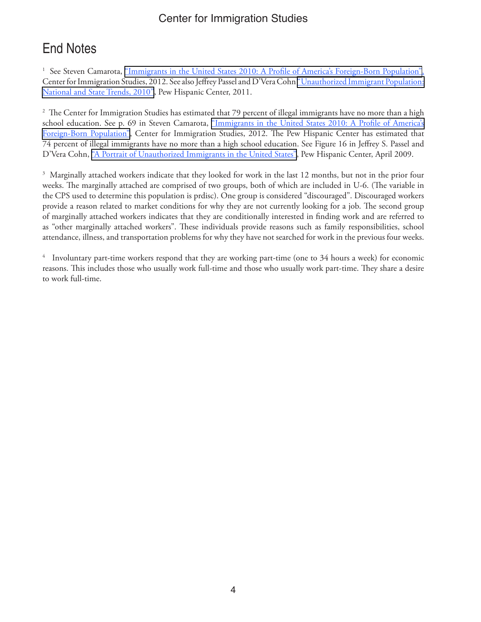# End Notes

<sup>1</sup> See Steven Camarota, ["Immigrants in the United States 2010: A Profile of America's Foreign-Born Population"](http://cis.org/node/3877#illegal), Center for Immigration Studies, 2012. See also Jeffrey Passel and D'Vera Cohn ["Unauthorized Immigrant Population:](http://www.pewhispanic.org/2011/02/01/v-workers) [National and State Trends, 2010"](http://www.pewhispanic.org/2011/02/01/v-workers), Pew Hispanic Center, 2011.

 $^2$  The Center for Immigration Studies has estimated that 79 percent of illegal immigrants have no more than a high school education. See p. 69 in Steven Camarota, "Immigrants in the United States 2010: A Profile of America's [Foreign-Born Population"]( http://cis.org/node/3877#illegal), Center for Immigration Studies, 2012. The Pew Hispanic Center has estimated that 74 percent of illegal immigrants have no more than a high school education. See Figure 16 in Jeffrey S. Passel and D'Vera Cohn, ["A Portrait of Unauthorized Immigrants in the United States",](http://www.pewhispanic.org/files/reports/107.pdf) Pew Hispanic Center, April 2009.

<sup>3</sup> Marginally attached workers indicate that they looked for work in the last 12 months, but not in the prior four weeks. The marginally attached are comprised of two groups, both of which are included in U-6. (The variable in the CPS used to determine this population is prdisc). One group is considered "discouraged". Discouraged workers provide a reason related to market conditions for why they are not currently looking for a job. The second group of marginally attached workers indicates that they are conditionally interested in finding work and are referred to as "other marginally attached workers". These individuals provide reasons such as family responsibilities, school attendance, illness, and transportation problems for why they have not searched for work in the previous four weeks.

4 Involuntary part-time workers respond that they are working part-time (one to 34 hours a week) for economic reasons. This includes those who usually work full-time and those who usually work part-time. They share a desire to work full-time.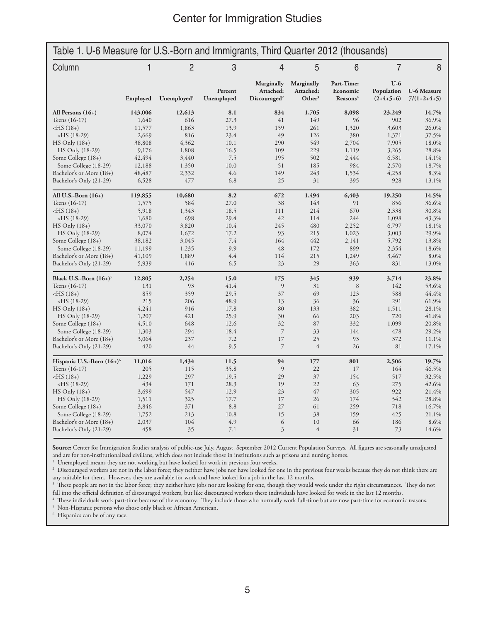| Table 1. U-6 Measure for U.S.-Born and Immigrants, Third Quarter 2012 (thousands) |          |                         |                       |                                                     |                                               |                                                |                                    |                                     |
|-----------------------------------------------------------------------------------|----------|-------------------------|-----------------------|-----------------------------------------------------|-----------------------------------------------|------------------------------------------------|------------------------------------|-------------------------------------|
| Column                                                                            |          | $\overline{2}$          | 3                     | $\overline{4}$                                      | 5                                             | 6                                              | $\overline{7}$                     | 8                                   |
|                                                                                   | Employed | Unemployed <sup>1</sup> | Percent<br>Unemployed | Marginally<br>Attached:<br>Discouraged <sup>2</sup> | Marginally<br>Attached:<br>Other <sup>3</sup> | Part-Time:<br>Economic<br>Reasons <sup>4</sup> | $U-6$<br>Population<br>$(2+4+5+6)$ | <b>U-6 Measure</b><br>$7/(1+2+4+5)$ |
| All Persons $(16+)$                                                               | 143,006  | 12,613                  | 8.1                   | 834                                                 | 1,705                                         | 8,098                                          | 23,249                             | 14.7%                               |
| Teens (16-17)                                                                     | 1,640    | 616                     | 27.3                  | 41                                                  | 149                                           | 96                                             | 902                                | 36.9%                               |
| $-HS(18+)$                                                                        | 11,577   | 1,863                   | 13.9                  | 159                                                 | 261                                           | 1,320                                          | 3,603                              | 26.0%                               |
| $-HS(18-29)$                                                                      | 2,669    | 816                     | 23.4                  | 49                                                  | 126                                           | 380                                            | 1,371                              | 37.5%                               |
| $HS$ Only $(18+)$                                                                 | 38,808   | 4,362                   | 10.1                  | 290                                                 | 549                                           | 2,704                                          | 7,905                              | 18.0%                               |
| HS Only (18-29)                                                                   | 9,176    | 1,808                   | 16.5                  | 109                                                 | 229                                           | 1,119                                          | 3,265                              | 28.8%                               |
| Some College (18+)                                                                | 42,494   | 3,440                   | 7.5                   | 195                                                 | 502                                           | 2,444                                          | 6,581                              | 14.1%                               |
| Some College (18-29)                                                              | 12,188   | 1,350                   | 10.0                  | 51                                                  | 185                                           | 984                                            | 2,570                              | 18.7%                               |
| Bachelor's or More (18+)                                                          | 48,487   | 2,332                   | 4.6                   | 149                                                 | 243                                           | 1,534                                          | 4,258                              | 8.3%                                |
| Bachelor's Only (21-29)                                                           | 6,528    | 477                     | 6.8                   | 25                                                  | 31                                            | 395                                            | 928                                | 13.1%                               |
| All U.S.-Born $(16+)$                                                             | 119,855  | 10,680                  | 8.2                   | 672                                                 | 1,494                                         | 6,403                                          | 19,250                             | 14.5%                               |
| Teens (16-17)                                                                     | 1,575    | 584                     | 27.0                  | 38                                                  | 143                                           | 91                                             | 856                                | 36.6%                               |
| $-HS(18+)$                                                                        | 5,918    | 1,343                   | 18.5                  | 111                                                 | 214                                           | 670                                            | 2,338                              | 30.8%                               |
| $-HS(18-29)$                                                                      | 1,680    | 698                     | 29.4                  | 42                                                  | 114                                           | 244                                            | 1,098                              | 43.3%                               |
| $HS$ Only $(18+)$                                                                 | 33,070   | 3,820                   | 10.4                  | 245                                                 | 480                                           | 2,252                                          | 6,797                              | 18.1%                               |
| HS Only (18-29)                                                                   | 8,074    | 1,672                   | 17.2                  | 93                                                  | 215                                           | 1,023                                          | 3,003                              | 29.9%                               |
| Some College (18+)                                                                | 38,182   | 3,045                   | 7.4                   | 164                                                 | 442                                           | 2,141                                          | 5,792                              | 13.8%                               |
| Some College (18-29)                                                              | 11,199   | 1,235                   | 9.9                   | 48                                                  | 172                                           | 899                                            | 2,354                              | 18.6%                               |
| Bachelor's or More (18+)                                                          | 41,109   | 1,889                   | 4.4                   | 114                                                 | 215                                           | 1,249                                          | 3,467                              | 8.0%                                |
| Bachelor's Only (21-29)                                                           | 5,939    | 416                     | 6.5                   | 23                                                  | 29                                            | 363                                            | 831                                | 13.0%                               |
| Black U.S.-Born $(16+)$ <sup>5</sup>                                              | 12,805   | 2,254                   | 15.0                  | 175                                                 | 345                                           | 939                                            | 3,714                              | 23.8%                               |
| Teens (16-17)                                                                     | 131      | 93                      | 41.4                  | $\overline{9}$                                      | 31                                            | 8                                              | 142                                | 53.6%                               |
| $-HS(18+)$                                                                        | 859      | 359                     | 29.5                  | 37                                                  | 69                                            | 123                                            | 588                                | 44.4%                               |
| $-HS(18-29)$                                                                      | 215      | 206                     | 48.9                  | 13                                                  | 36                                            | 36                                             | 291                                | 61.9%                               |
| $HS$ Only $(18+)$                                                                 | 4,241    | 916                     | 17.8                  | 80                                                  | 133                                           | 382                                            | 1,511                              | 28.1%                               |
| HS Only (18-29)                                                                   | 1,207    | 421                     | 25.9                  | 30                                                  | 66                                            | 203                                            | 720                                | 41.8%                               |
| Some College (18+)                                                                | 4,510    | 648                     | 12.6                  | 32                                                  | 87                                            | 332                                            | 1,099                              | 20.8%                               |
| Some College (18-29)                                                              | 1,303    | 294                     | 18.4                  | $\overline{7}$                                      | 33                                            | 144                                            | 478                                | 29.2%                               |
| Bachelor's or More (18+)                                                          | 3,064    | 237                     | 7.2                   | 17                                                  | 25                                            | 93                                             | 372                                | 11.1%                               |
| Bachelor's Only (21-29)                                                           | 420      | 44                      | 9.5                   | $\overline{7}$                                      | $\overline{4}$                                | 26                                             | 81                                 | 17.1%                               |
| Hispanic U.S.-Born $(16+)$ <sup>6</sup>                                           | 11,016   | 1,434                   | 11.5                  | 94                                                  | 177                                           | 801                                            | 2,506                              | 19.7%                               |
| Teens (16-17)                                                                     | 205      | 115                     | 35.8                  | 9                                                   | 22                                            | 17                                             | 164                                | 46.5%                               |
| $-HS(18+)$                                                                        | 1,229    | 297                     | 19.5                  | 29                                                  | 37                                            | 154                                            | 517                                | 32.5%                               |
| $-HS(18-29)$                                                                      | 434      | 171                     | 28.3                  | 19                                                  | 22                                            | 63                                             | 275                                | 42.6%                               |
| $HS$ Only $(18+)$                                                                 | 3,699    | 547                     | 12.9                  | 23                                                  | 47                                            | 305                                            | 922                                | 21.4%                               |
| HS Only (18-29)                                                                   | 1,511    | 325                     | 17.7                  | 17                                                  | 26                                            | 174                                            | 542                                | 28.8%                               |
| Some College (18+)                                                                | 3,846    | 371                     | 8.8                   | 27                                                  | 61                                            | 259                                            | 718                                | 16.7%                               |
| Some College (18-29)                                                              | 1,752    | 213                     | 10.8                  | 15                                                  | 38                                            | 159                                            | 425                                | 21.1%                               |
| Bachelor's or More (18+)                                                          | 2,037    | 104                     | 4.9                   | 6                                                   | 10                                            | 66                                             | 186                                | 8.6%                                |
| Bachelor's Only (21-29)                                                           | 458      | 35                      | 7.1                   | $\overline{3}$                                      | $\overline{4}$                                | 31                                             | 73                                 | 14.6%                               |

**Source:** Center for Immigration Studies analysis of public-use July, August, September 2012 Current Population Surveys. All figures are seasonally unadjusted and are for non-institutionalized civilians, which does not include those in institutions such as prisons and nursing homes. 1

 $1$  Unemployed means they are not working but have looked for work in previous four weeks.

<sup>2</sup> Discouraged workers are not in the labor force; they neither have jobs nor have looked for one in the previous four weeks because they do not think there are any suitable for them. However, they are available for work and have looked for a job in the last 12 months.

 $3$  These people are not in the labor force; they neither have jobs nor are looking for one, though they would work under the right circumstances. They do not fall into the official definition of discouraged workers, but like discouraged workers these individuals have looked for work in the last 12 months. 4

These individuals work part-time because of the economy. They include those who normally work full-time but are now part-time for economic reasons.

5 Non-Hispanic persons who chose only black or African American.

6 Hispanics can be of any race.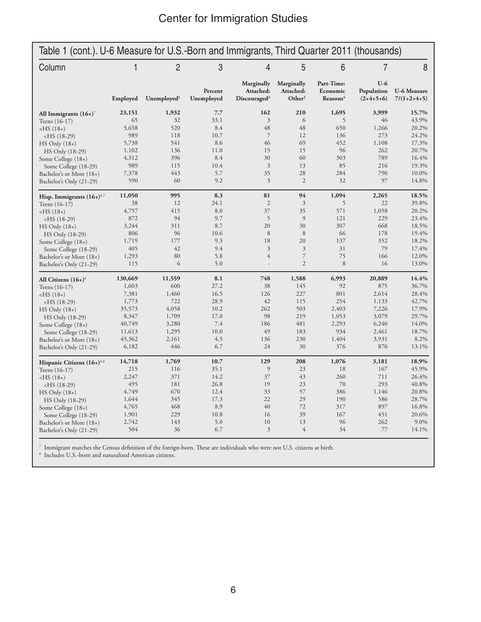| Table 1 (cont.). U-6 Measure for U.S.-Born and Immigrants, Third Quarter 2011 (thousands) |          |                         |                       |                                                     |                                               |                                                |                                    |                                     |
|-------------------------------------------------------------------------------------------|----------|-------------------------|-----------------------|-----------------------------------------------------|-----------------------------------------------|------------------------------------------------|------------------------------------|-------------------------------------|
| Column                                                                                    |          | $\overline{2}$          | 3                     | 4                                                   | 5                                             | 6                                              | 7                                  | 8                                   |
|                                                                                           | Employed | Unemployed <sup>1</sup> | Percent<br>Unemployed | Marginally<br>Attached:<br>Discouraged <sup>2</sup> | Marginally<br>Attached:<br>Other <sup>3</sup> | Part-Time:<br>Economic<br>Reasons <sup>4</sup> | $U-6$<br>Population<br>$(2+4+5+6)$ | <b>U-6 Measure</b><br>$7/(1+2+4+5)$ |
| All Immigrants $(16+)$ <sup>7</sup>                                                       | 23,151   | 1,932                   | 7.7                   | 162                                                 | 210                                           | 1,695                                          | 3,999                              | 15.7%                               |
| Teens (16-17)                                                                             | 65       | 32                      | 33.1                  | $\overline{3}$                                      | 6                                             | 5                                              | 46                                 | 43.9%                               |
| $-HS(18+)$                                                                                | 5,658    | 520                     | 8.4                   | 48                                                  | 48                                            | 650                                            | 1,266                              | 20.2%                               |
| $-HS(18-29)$                                                                              | 989      | 118                     | 10.7                  | $\overline{7}$                                      | 12                                            | 136                                            | 273                                | 24.2%                               |
| $HS$ Only $(18+)$                                                                         | 5,738    | 541                     | 8.6                   | 46                                                  | 69                                            | 452                                            | 1,108                              | 17.3%                               |
| HS Only (18-29)                                                                           | 1,102    | 136                     | 11.0                  | 15                                                  | 15                                            | 96                                             | 262                                | 20.7%                               |
| Some College (18+)                                                                        | 4,312    | 396                     | 8.4                   | 30                                                  | 60                                            | 303                                            | 789                                | 16.4%                               |
| Some College (18-29)                                                                      | 989      | 115                     | 10.4                  | $\mathfrak{Z}$                                      | 13                                            | 85                                             | 216                                | 19.3%                               |
| Bachelor's or More (18+)                                                                  | 7,378    | 443                     | 5.7                   | 35                                                  | 28                                            | 284                                            | 790                                | 10.0%                               |
| Bachelor's Only (21-29)                                                                   | 590      | 60                      | 9.2                   | $\overline{3}$                                      | $\mathfrak{2}$                                | 32                                             | 97                                 | 14.8%                               |
| Hisp. Immigrants $(16+)$ <sup>6,7</sup>                                                   | 11,050   | 995                     | 8.3                   | 81                                                  | 94                                            | 1,094                                          | 2,265                              | 18.5%                               |
| Teens (16-17)                                                                             | 38       | 12                      | 24.1                  | $\overline{2}$                                      | $\overline{3}$                                | 5                                              | 22                                 | 39.8%                               |
| $-HS(18+)$                                                                                | 4,757    | 415                     | 8.0                   | 37                                                  | 35                                            | 571                                            | 1,058                              | 20.2%                               |
| $-HS(18-29)$                                                                              | 872      | 94                      | 9.7                   | 5                                                   | 9                                             | 121                                            | 229                                | 23.4%                               |
| $HS$ Only $(18+)$                                                                         | 3,244    | 311                     | 8.7                   | 20                                                  | 30                                            | 307                                            | 668                                | 18.5%                               |
| HS Only (18-29)                                                                           | 806      | 96                      | 10.6                  | $\,$ 8 $\,$                                         | 8                                             | 66                                             | 178                                | 19.4%                               |
| Some College (18+)                                                                        | 1,719    | 177                     | 9.3                   | 18                                                  | 20                                            | 137                                            | 352                                | 18.2%                               |
| Some College (18-29)                                                                      | 405      | 42                      | 9.4                   | 3                                                   | $\overline{3}$                                | 31                                             | 79                                 | 17.4%                               |
| Bachelor's or More (18+)                                                                  | 1,293    | 80                      | 5.8                   | $\overline{4}$                                      | $\overline{7}$                                | 75                                             | 166                                | 12.0%                               |
| Bachelor's Only (21-29)                                                                   | 115      | 6                       | 5.0                   | L                                                   | $\overline{2}$                                | 8                                              | 16                                 | 13.0%                               |
| All Citizens $(16+)$ <sup>8</sup>                                                         | 130,669  | 11,559                  | 8.1                   | 748                                                 | 1,588                                         | 6,993                                          | 20,889                             | 14.4%                               |
| Teens (16-17)                                                                             | 1,603    | 600                     | 27.2                  | 38                                                  | 145                                           | 92                                             | 875                                | 36.7%                               |
| $-HS(18+)$                                                                                | 7,381    | 1,460                   | 16.5                  | 126                                                 | 227                                           | 801                                            | 2,614                              | 28.4%                               |
| $-HS(18-29)$                                                                              | 1,773    | 722                     | 28.9                  | 42                                                  | 115                                           | 254                                            | 1,133                              | 42.7%                               |
| $HS$ Only $(18+)$                                                                         | 35,573   | 4,058                   | 10.2                  | 262                                                 | 503                                           | 2,403                                          | 7,226                              | 17.9%                               |
| HS Only (18-29)                                                                           | 8,347    | 1,709                   | 17.0                  | 98                                                  | 219                                           | 1,053                                          | 3,079                              | 29.7%                               |
| Some College (18+)                                                                        | 40,749   | 3,280                   | 7.4                   | 186                                                 | 481                                           | 2,293                                          | 6,240                              | 14.0%                               |
| Some College (18-29)                                                                      | 11,613   | 1,295                   | 10.0                  | 49                                                  | 183                                           | 934                                            | 2,461                              | 18.7%                               |
| Bachelor's or More (18+)                                                                  | 45,362   | 2,161                   | 4.5                   | 136                                                 | 230                                           | 1,404                                          | 3,931                              | 8.2%                                |
| Bachelor's Only (21-29)                                                                   | 6,182    | 446                     | 6.7                   | 24                                                  | 30                                            | 376                                            | 876                                | 13.1%                               |
| Hispanic Citizens (16+) <sup>6,8</sup>                                                    | 14,718   | 1,769                   | 10.7                  | 129                                                 | 208                                           | 1,076                                          | 3,181                              | 18.9%                               |
| Teens (16-17)                                                                             | 215      | 116                     | 35.1                  | 9                                                   | 23                                            | 18                                             | 167                                | 45.9%                               |
| $-HS(18+)$                                                                                | 2,247    | 371                     | 14.2                  | 37                                                  | 43                                            | 260                                            | 711                                | 26.4%                               |
| $-HS(18-29)$                                                                              | 495      | 181                     | 26.8                  | 19                                                  | 23                                            | 70                                             | 293                                | 40.8%                               |
| $HS$ Only $(18+)$                                                                         | 4,749    | 670                     | 12.4                  | 33                                                  | 57                                            | 386                                            | 1,146                              | 20.8%                               |
| HS Only (18-29)                                                                           | 1,644    | 345                     | 17.3                  | 22                                                  | 29                                            | 190                                            | 586                                | 28.7%                               |
| Some College (18+)                                                                        | 4,765    | 468                     | 8.9                   | 40                                                  | 72                                            | 317                                            | 897                                | 16.8%                               |
| Some College (18-29)                                                                      | 1,901    | 229                     | 10.8                  | 16                                                  | 39                                            | 167                                            | 451                                | 20.6%                               |
| Bachelor's or More (18+)                                                                  | 2,742    | 143                     | 5.0                   | 10                                                  | 13                                            | 96                                             | 262                                | 9.0%                                |
| Bachelor's Only (21-29)                                                                   | 504      | 36                      | 6.7                   | 3                                                   | $\overline{4}$                                | 34                                             | 77                                 | 14.1%                               |

 $^7$  Immigrant matches the Census definition of the foreign-born. These are individuals who were not U.S. citizens at birth.  $^8$  Includes U.S.-born and naturalized American citizens.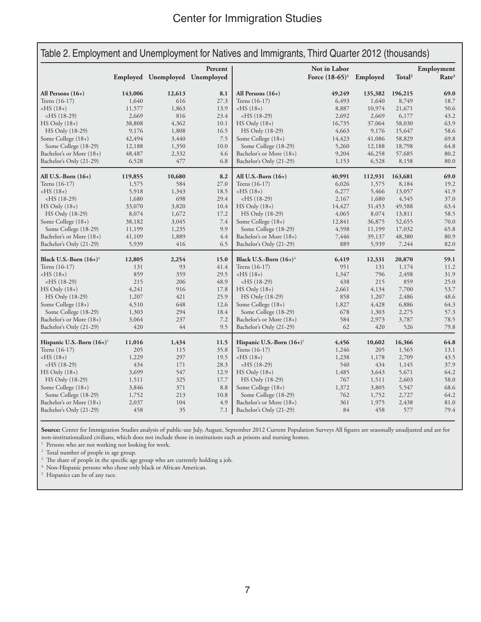| Table 2. Employment and Unemployment for Natives and Immigrants, Third Quarter 2012 (thousands) |         |                                |         |                                         |                                            |         |                    |                                 |
|-------------------------------------------------------------------------------------------------|---------|--------------------------------|---------|-----------------------------------------|--------------------------------------------|---------|--------------------|---------------------------------|
|                                                                                                 |         | Employed Unemployed Unemployed | Percent |                                         | Not in Labor<br>Force $(18-65)^1$ Employed |         | Total <sup>2</sup> | Employment<br>Rate <sup>3</sup> |
| All Persons $(16+)$                                                                             | 143,006 | 12,613                         | 8.1     | All Persons $(16+)$                     | 49,249                                     | 135,382 | 196,215            | 69.0                            |
| Teens (16-17)                                                                                   | 1,640   | 616                            | 27.3    | Teens (16-17)                           | 6,493                                      | 1,640   | 8,749              | 18.7                            |
| $-HS(18+)$                                                                                      | 11,577  | 1,863                          | 13.9    | $-HS(18+)$                              | 8,887                                      | 10,974  | 21,671             | 50.6                            |
| $-HS$ (18-29)                                                                                   | 2,669   | 816                            | 23.4    | $-HS(18-29)$                            | 2,692                                      | 2,669   | 6,177              | 43.2                            |
| $HS$ Only $(18+)$                                                                               | 38,808  | 4,362                          | 10.1    | $HS$ Only $(18+)$                       | 16,735                                     | 37,064  | 58,030             | 63.9                            |
| HS Only (18-29)                                                                                 | 9,176   | 1,808                          | 16.5    | HS Only (18-29)                         | 4,663                                      | 9,176   | 15,647             | 58.6                            |
| Some College (18+)                                                                              | 42,494  | 3,440                          | 7.5     | Some College (18+)                      | 14,423                                     | 41,086  | 58,829             | 69.8                            |
| Some College (18-29)                                                                            | 12,188  | 1,350                          | 10.0    | Some College (18-29)                    | 5,260                                      | 12,188  | 18,798             | 64.8                            |
| Bachelor's or More (18+)                                                                        | 48,487  | 2,332                          | 4.6     | Bachelor's or More (18+)                | 9,204                                      | 46,258  | 57,685             | 80.2                            |
| Bachelor's Only (21-29)                                                                         | 6,528   | 477                            | 6.8     | Bachelor's Only (21-29)                 | 1,153                                      | 6,528   | 8,158              | 80.0                            |
| All U.S.-Born $(16+)$                                                                           | 119,855 | 10,680                         | 8.2     | All U.S.-Born $(16+)$                   | 40,991                                     | 112,931 | 163,681            | 69.0                            |
| Teens (16-17)                                                                                   | 1,575   | 584                            | 27.0    | Teens (16-17)                           | 6,026                                      | 1,575   | 8,184              | 19.2                            |
| $-HS(18+)$                                                                                      | 5,918   | 1,343                          | 18.5    | $-HS(18+)$                              | 6,277                                      | 5,466   | 13,057             | 41.9                            |
| $-HS$ (18-29)                                                                                   | 1,680   | 698                            | 29.4    | $-HS$ (18-29)                           | 2,167                                      | 1,680   | 4,545              | 37.0                            |
| $HS$ Only $(18+)$                                                                               | 33,070  | 3,820                          | 10.4    | $HS$ Only $(18+)$                       | 14,427                                     | 31,453  | 49,588             | 63.4                            |
| HS Only (18-29)                                                                                 | 8,074   | 1,672                          | 17.2    | HS Only (18-29)                         | 4,065                                      | 8,074   | 13,811             | 58.5                            |
| Some College (18+)                                                                              | 38,182  | 3,045                          | 7.4     | Some College (18+)                      | 12,841                                     | 36,875  | 52,655             | 70.0                            |
| Some College (18-29)                                                                            | 11,199  | 1,235                          | 9.9     | Some College (18-29)                    | 4,598                                      | 11,199  | 17,032             | 65.8                            |
| Bachelor's or More (18+)                                                                        | 41,109  | 1,889                          | 4.4     | Bachelor's or More (18+)                | 7,446                                      | 39,137  | 48,380             | 80.9                            |
| Bachelor's Only (21-29)                                                                         | 5,939   | 416                            | 6.5     | Bachelor's Only (21-29)                 | 889                                        | 5,939   | 7,244              | 82.0                            |
| Black U.S.-Born $(16+)$ <sup>4</sup>                                                            | 12,805  | 2,254                          | 15.0    | Black U.S.-Born $(16+)$ <sup>4</sup>    | 6,419                                      | 12,331  | 20,870             | 59.1                            |
| Teens (16-17)                                                                                   | 131     | 93                             | 41.4    | Teens (16-17)                           | 951                                        | 131     | 1,174              | 11.2                            |
| $-HS(18+)$                                                                                      | 859     | 359                            | 29.5    | $-HS(18+)$                              | 1,347                                      | 796     | 2,498              | 31.9                            |
| $-HS$ (18-29)                                                                                   | 215     | 206                            | 48.9    | $-HS(18-29)$                            | 438                                        | 215     | 859                | 25.0                            |
| $HS$ Only $(18+)$                                                                               | 4,241   | 916                            | 17.8    | $HS$ Only $(18+)$                       | 2,661                                      | 4,134   | 7,700              | 53.7                            |
| HS Only (18-29)                                                                                 | 1,207   | 421                            | 25.9    | HS Only (18-29)                         | 858                                        | 1,207   | 2,486              | 48.6                            |
| Some College (18+)                                                                              | 4,510   | 648                            | 12.6    | Some College (18+)                      | 1,827                                      | 4,428   | 6,886              | 64.3                            |
| Some College (18-29)                                                                            | 1,303   | 294                            | 18.4    | Some College (18-29)                    | 678                                        | 1,303   | 2,275              | 57.3                            |
| Bachelor's or More (18+)                                                                        | 3,064   | 237                            | 7.2     | Bachelor's or More (18+)                | 584                                        | 2,973   | 3,787              | 78.5                            |
| Bachelor's Only (21-29)                                                                         | 420     | 44                             | 9.5     | Bachelor's Only (21-29)                 | 62                                         | 420     | 526                | 79.8                            |
| Hispanic U.S.-Born $(16+)$ <sup>5</sup>                                                         | 11,016  | 1,434                          | 11.5    | Hispanic U.S.-Born $(16+)$ <sup>5</sup> | 4,456                                      | 10,602  | 16,366             | 64.8                            |
| Teens (16-17)                                                                                   | 205     | 115                            | 35.8    | Teens (16-17)                           | 1,246                                      | 205     | 1,565              | 13.1                            |
| $-HS(18+)$                                                                                      | 1,229   | 297                            | 19.5    | $-HS(18+)$                              | 1,238                                      | 1,178   | 2,709              | 43.5                            |
| $-HS$ (18-29)                                                                                   | 434     | 171                            | 28.3    | $-HS$ (18-29)                           | 540                                        | 434     | 1,145              | 37.9                            |
| $HS$ Only $(18+)$                                                                               | 3,699   | 547                            | 12.9    | $HS$ Only $(18+)$                       | 1,485                                      | 3,643   | 5,671              | 64.2                            |
| HS Only (18-29)                                                                                 | 1,511   | 325                            | 17.7    | HS Only (18-29)                         | 767                                        | 1,511   | 2,603              | 58.0                            |
| Some College (18+)                                                                              | 3,846   | 371                            | 8.8     | Some College (18+)                      | 1,372                                      | 3,805   | 5,547              | 68.6                            |
| Some College (18-29)                                                                            | 1,752   | 213                            | 10.8    | Some College (18-29)                    | 762                                        | 1,752   | 2,727              | 64.2                            |
| Bachelor's or More (18+)                                                                        | 2,037   | 104                            | 4.9     | Bachelor's or More (18+)                | 361                                        | 1,975   | 2,438              | 81.0                            |
| Bachelor's Only (21-29)                                                                         | 458     | 35                             | 7.1     | Bachelor's Only (21-29)                 | 84                                         | 458     | 577                | 79.4                            |

**Source:** Center for Immigration Studies analysis of public-use July, August, September 2012 Current Population Surveys All figures are seasonally unadjusted and are for non-institutionalized civilians, which does not include those in institutions such as prisons and nursing homes. 1

 $^{\rm 1}$  Persons who are not working nor looking for work.

<sup>2</sup> Total number of people in age group.

<sup>3</sup> The share of people in the specific age group who are currently holding a job.

Non-Hispanic persons who chose only black or African American. 5

<sup>5</sup> Hispanics can be of any race.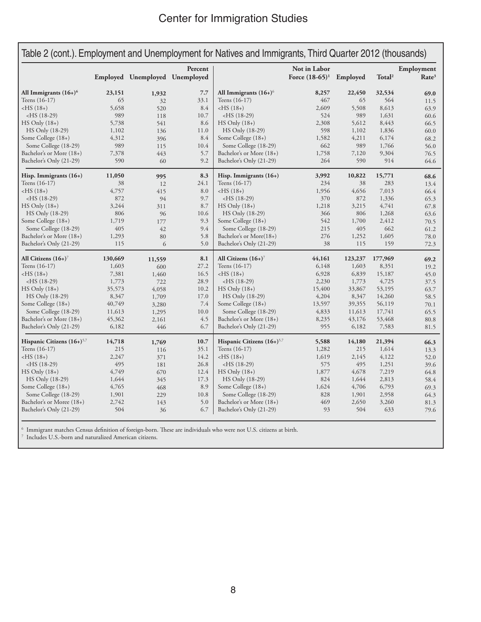|                                          |         |                                |         | Table 2 (cont.). Employment and Unemployment for Natives and Immigrants, Third Quarter 2012 (thousands) |                            |         |                    |                   |
|------------------------------------------|---------|--------------------------------|---------|---------------------------------------------------------------------------------------------------------|----------------------------|---------|--------------------|-------------------|
|                                          |         |                                | Percent |                                                                                                         | Not in Labor               |         |                    | Employment        |
|                                          |         | Employed Unemployed Unemployed |         |                                                                                                         | Force $(18-65)^1$ Employed |         | Total <sup>2</sup> | Rate <sup>3</sup> |
| All Immigrants $(16+)$ <sup>6</sup>      | 23,151  | 1,932                          | 7.7     | All Immigrants $(16+)$ <sup>6</sup>                                                                     | 8,257                      | 22,450  | 32,534             | 69.0              |
| Teens (16-17)                            | 65      | 32                             | 33.1    | Teens (16-17)                                                                                           | 467                        | 65      | 564                | 11.5              |
| $-HS(18+)$                               | 5,658   | 520                            | 8.4     | $-HS(18+)$                                                                                              | 2,609                      | 5,508   | 8,613              | 63.9              |
| $-HS(18-29)$                             | 989     | 118                            | 10.7    | $-HS$ (18-29)                                                                                           | 524                        | 989     | 1,631              | 60.6              |
| $HS$ Only $(18+)$                        | 5,738   | 541                            | 8.6     | $HS$ Only $(18+)$                                                                                       | 2,308                      | 5,612   | 8,443              | 66.5              |
| HS Only (18-29)                          | 1,102   | 136                            | 11.0    | HS Only (18-29)                                                                                         | 598                        | 1,102   | 1,836              | 60.0              |
| Some College (18+)                       | 4,312   | 396                            | 8.4     | Some College (18+)                                                                                      | 1,582                      | 4,211   | 6,174              | 68.2              |
| Some College (18-29)                     | 989     | 115                            | 10.4    | Some College (18-29)                                                                                    | 662                        | 989     | 1,766              | 56.0              |
| Bachelor's or More (18+)                 | 7,378   | 443                            | 5.7     | Bachelor's or More (18+)                                                                                | 1,758                      | 7,120   | 9,304              | 76.5              |
| Bachelor's Only (21-29)                  | 590     | 60                             | 9.2     | Bachelor's Only (21-29)                                                                                 | 264                        | 590     | 914                | 64.6              |
| Hisp. Immigrants $(16+)$                 | 11,050  | 995                            | 8.3     | Hisp. Immigrants $(16+)$                                                                                | 3,992                      | 10,822  | 15,771             | 68.6              |
| Teens (16-17)                            | 38      | 12                             | 24.1    | Teens (16-17)                                                                                           | 234                        | 38      | 283                | 13.4              |
| $-HS(18+)$                               | 4,757   | 415                            | 8.0     | $-HS(18+)$                                                                                              | 1,956                      | 4,656   | 7,013              | 66.4              |
| $-HS(18-29)$                             | 872     | 94                             | 9.7     | $-HS(18-29)$                                                                                            | 370                        | 872     | 1,336              | 65.3              |
| $HS$ Only $(18+)$                        | 3,244   | 311                            | 8.7     | $HS$ Only $(18+)$                                                                                       | 1,218                      | 3,215   | 4,741              | 67.8              |
| HS Only (18-29)                          | 806     | 96                             | 10.6    | HS Only (18-29)                                                                                         | 366                        | 806     | 1,268              | 63.6              |
| Some College (18+)                       | 1,719   | 177                            | 9.3     | Some College (18+)                                                                                      | 542                        | 1,700   | 2,412              | 70.5              |
| Some College (18-29)                     | 405     | 42                             | 9.4     | Some College (18-29)                                                                                    | 215                        | 405     | 662                | 61.2              |
| Bachelor's or More (18+)                 | 1,293   | 80                             | 5.8     | Bachelor's or More(18+)                                                                                 | 276                        | 1,252   | 1,605              | 78.0              |
| Bachelor's Only (21-29)                  | 115     | 6                              | 5.0     | Bachelor's Only (21-29)                                                                                 | 38                         | 115     | 159                | 72.3              |
| All Citizens $(16+)$ <sup>7</sup>        | 130,669 | 11,559                         | 8.1     | All Citizens $(16+)$ <sup>7</sup>                                                                       | 44,161                     | 123,237 | 177,969            | 69.2              |
| Teens (16-17)                            | 1,603   | 600                            | 27.2    | Teens (16-17)                                                                                           | 6,148                      | 1,603   | 8,351              | 19.2              |
| $-HS(18+)$                               | 7,381   | 1,460                          | 16.5    | $-HS(18+)$                                                                                              | 6,928                      | 6,839   | 15,187             | 45.0              |
| $-HS(18-29)$                             | 1,773   | 722                            | 28.9    | $-HS$ (18-29)                                                                                           | 2,230                      | 1,773   | 4,725              | 37.5              |
| $HS$ Only $(18+)$                        | 35,573  | 4,058                          | 10.2    | $HS$ Only $(18+)$                                                                                       | 15,400                     | 33,867  | 53,195             | 63.7              |
| HS Only (18-29)                          | 8,347   | 1,709                          | 17.0    | HS Only (18-29)                                                                                         | 4,204                      | 8,347   | 14,260             | 58.5              |
| Some College (18+)                       | 40,749  | 3,280                          | 7.4     | Some College (18+)                                                                                      | 13,597                     | 39,355  | 56,119             | 70.1              |
| Some College (18-29)                     | 11,613  | 1,295                          | 10.0    | Some College (18-29)                                                                                    | 4,833                      | 11,613  | 17,741             | 65.5              |
| Bachelor's or More (18+)                 | 45,362  | 2,161                          | 4.5     | Bachelor's or More (18+)                                                                                | 8,235                      | 43,176  | 53,468             | 80.8              |
| Bachelor's Only (21-29)                  | 6,182   | 446                            | 6.7     | Bachelor's Only (21-29)                                                                                 | 955                        | 6,182   | 7,583              | 81.5              |
| Hispanic Citizens $(16+)$ <sup>5,7</sup> | 14,718  | 1,769                          | 10.7    | Hispanic Citizens $(16+)$ <sup>5,7</sup>                                                                | 5,588                      | 14,180  | 21,394             | 66.3              |
| Teens (16-17)                            | 215     | 116                            | 35.1    | Teens (16-17)                                                                                           | 1,282                      | 215     | 1,614              | 13.3              |
| $-HS(18+)$                               | 2,247   | 371                            | 14.2    | $-HS(18+)$                                                                                              | 1,619                      | 2,145   | 4,122              | 52.0              |
| $-HS(18-29)$                             | 495     | 181                            | 26.8    | $-HS$ (18-29)                                                                                           | 575                        | 495     | 1,251              | 39.6              |
| $HS$ Only $(18+)$                        | 4,749   | 670                            | 12.4    | $HS$ Only $(18+)$                                                                                       | 1,877                      | 4,678   | 7,219              | 64.8              |
| HS Only (18-29)                          | 1,644   | 345                            | 17.3    | HS Only (18-29)                                                                                         | 824                        | 1,644   | 2,813              | 58.4              |
| Some College (18+)                       | 4,765   | 468                            | 8.9     | Some College (18+)                                                                                      | 1,624                      | 4,706   | 6,793              | 69.3              |
| Some College (18-29)                     | 1,901   | 229                            | 10.8    | Some College (18-29)                                                                                    | 828                        | 1,901   | 2,958              | 64.3              |
| Bachelor's or Moree (18+)                | 2,742   | 143                            | 5.0     | Bachelor's or More (18+)                                                                                | 469                        | 2,650   | 3,260              | 81.3              |
| Bachelor's Only (21-29)                  | 504     | 36                             | 6.7     | Bachelor's Only (21-29)                                                                                 | 93                         | 504     | 633                | 79.6              |
|                                          |         |                                |         |                                                                                                         |                            |         |                    |                   |

 $^6\,$  Immigrant matches Census definition of foreign-born. These are individuals who were not U.S. citizens at birth.  $^7\,$  Includes U.S.-born and naturalized American citizens.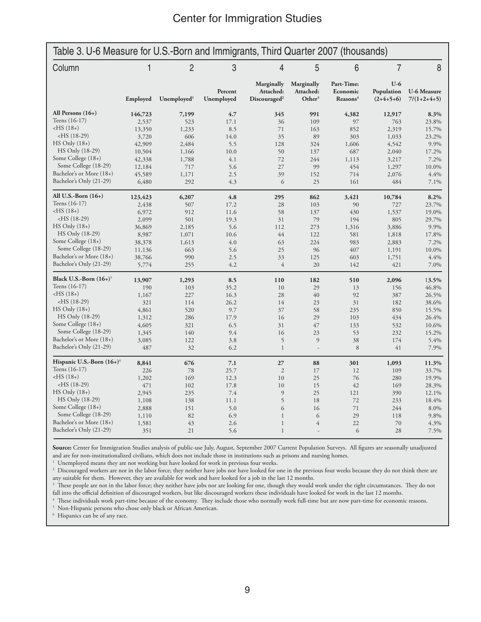| Table 3. U-6 Measure for U.S.-Born and Immigrants, Third Quarter 2007 (thousands) |              |                         |                       |                                                     |                                               |                                                |                                    |                                     |
|-----------------------------------------------------------------------------------|--------------|-------------------------|-----------------------|-----------------------------------------------------|-----------------------------------------------|------------------------------------------------|------------------------------------|-------------------------------------|
| Column                                                                            | $\mathbf{1}$ | $\overline{2}$          | 3                     | $\overline{4}$                                      | 5                                             | 6                                              | $\overline{7}$                     | 8                                   |
|                                                                                   | Employed     | Unemployed <sup>1</sup> | Percent<br>Unemployed | Marginally<br>Attached:<br>Discouraged <sup>2</sup> | Marginally<br>Attached:<br>Other <sup>3</sup> | Part-Time:<br>Economic<br>Reasons <sup>4</sup> | $U-6$<br>Population<br>$(2+4+5+6)$ | <b>U-6 Measure</b><br>$7/(1+2+4+5)$ |
| All Persons $(16+)$                                                               | 146,723      | 7,199                   | 4.7                   | 345                                                 | 991                                           | 4,382                                          | 12,917                             | 8.3%                                |
| Teens $(16-17)$                                                                   | 2,537        | 523                     | 17.1                  | 36                                                  | 109                                           | 97                                             | 763                                | 23.8%                               |
| $-HS(18+)$                                                                        | 13,350       | 1,233                   | 8.5                   | 71                                                  | 163                                           | 852                                            | 2,319                              | 15.7%                               |
| $-HS$ (18-29)                                                                     | 3,720        | 606                     | 14.0                  | 35                                                  | 89                                            | 303                                            | 1,033                              | 23.2%                               |
| $HS$ Only $(18+)$                                                                 | 42,909       | 2.484                   | 5.5                   | 128                                                 | 324                                           | 1,606                                          | 4,542                              | 9.9%                                |
| HS Only (18-29)                                                                   | 10,504       | 1,166                   | 10.0                  | 50                                                  | 137                                           | 687                                            | 2,040                              | 17.2%                               |
| Some College (18+)                                                                | 42,338       | 1,788                   | 4.1                   | 72                                                  | 244                                           | 1,113                                          | 3,217                              | 7.2%                                |
| Some College (18-29)                                                              | 12,184       | 717                     | 5.6                   | 27                                                  | 99                                            | 454                                            | 1,297                              | 10.0%                               |
| Bachelor's or More (18+)                                                          | 45,589       | 1,171                   | 2.5                   | 39                                                  | 152                                           | 714                                            | 2,076                              | 4.4%                                |
| Bachelor's Only (21-29)                                                           | 6,480        | 292                     | 4.3                   | 6                                                   | 25                                            | 161                                            | 484                                | 7.1%                                |
| All U.S.-Born $(16+)$                                                             | 123,423      | 6,207                   | 4.8                   | 295                                                 | 862                                           | 3,421                                          | 10,784                             | 8.2%                                |
| Teens (16-17)                                                                     | 2,438        | 507                     | 17.2                  | 28                                                  | 103                                           | 90                                             | 727                                | 23.7%                               |
| $-HS(18+)$                                                                        | 6,972        | 912                     | 11.6                  | 58                                                  | 137                                           | 430                                            | 1,537                              | 19.0%                               |
| $-HS(18-29)$                                                                      | 2,099        | 501                     | 19.3                  | 31                                                  | 79                                            | 194                                            | 805                                | 29.7%                               |
| $HS$ Only $(18+)$                                                                 | 36,869       | 2,185                   | 5.6                   | 112                                                 | 273                                           | 1,316                                          | 3,886                              | 9.9%                                |
| HS Only (18-29)                                                                   | 8,987        | 1,071                   | 10.6                  | 44                                                  | 122                                           | 581                                            | 1,818                              | 17.8%                               |
| Some College (18+)                                                                | 38,378       | 1,613                   | 4.0                   | 63                                                  | 224                                           | 983                                            | 2,883                              | 7.2%                                |
| Some College (18-29)                                                              | 11,136       | 663                     | 5.6                   | 25                                                  | 96                                            | 407                                            | 1,191                              | 10.0%                               |
| Bachelor's or More (18+)                                                          | 38,766       | 990                     | 2.5                   | 33                                                  | 125                                           | 603                                            | 1,751                              | 4.4%                                |
| Bachelor's Only (21-29)                                                           | 5,774        | 255                     | 4.2                   | $\overline{4}$                                      | 20                                            | 142                                            | 421                                | 7.0%                                |
| Black U.S.-Born $(16+)$ <sup>5</sup>                                              | 13,907       | 1,293                   | 8.5                   | 110                                                 | 182                                           | 510                                            | 2,096                              | 13.5%                               |
| Teens (16-17)                                                                     | 190          | 103                     | 35.2                  | 10                                                  | 29                                            | 13                                             | 156                                | 46.8%                               |
| $-HS(18+)$                                                                        | 1,167        | 227                     | 16.3                  | 28                                                  | 40                                            | 92                                             | 387                                | 26.5%                               |
| $-HS$ (18-29)                                                                     | 321          | 114                     | 26.2                  | 14                                                  | 23                                            | 31                                             | 182                                | 38.6%                               |
| $HS$ Only $(18+)$                                                                 | 4,861        | 520                     | 9.7                   | 37                                                  | 58                                            | 235                                            | 850                                | 15.5%                               |
| HS Only (18-29)                                                                   | 1,312        | 286                     | 17.9                  | 16                                                  | 29                                            | 103                                            | 434                                | 26.4%                               |
| Some College (18+)                                                                | 4,605        | 321                     | 6.5                   | 31                                                  | 47                                            | 133                                            | 532                                | 10.6%                               |
| Some College (18-29)                                                              | 1,345        | 140                     | 9.4                   | 16                                                  | 23                                            | 53                                             | 232                                | 15.2%                               |
| Bachelor's or More (18+)                                                          | 3,085        | 122                     | 3.8                   | 5                                                   | 9                                             | 38                                             | 174                                | 5.4%                                |
| Bachelor's Only (21-29)                                                           | 487          | 32                      | 6.2                   | $\mathbf{1}$                                        | $\overline{\phantom{a}}$                      | 8                                              | 41                                 | 7.9%                                |
| Hispanic U.S.-Born $(16+)$ <sup>6</sup>                                           | 8,841        | 676                     | 7.1                   | 27                                                  | 88                                            | 301                                            | 1,093                              | 11.3%                               |
| Teens (16-17)                                                                     | 226          | 78                      | 25.7                  | $\mathfrak{2}$                                      | 17                                            | 12                                             | 109                                | 33.7%                               |
| $-HS(18+)$                                                                        | 1,202        | 169                     | 12.3                  | 10                                                  | 25                                            | 76                                             | 280                                | 19.9%                               |
| $-HS$ (18-29)                                                                     | 471          | 102                     | 17.8                  | 10                                                  | 15                                            | 42                                             | 169                                | 28.3%                               |
| $HS$ Only $(18+)$                                                                 | 2,945        | 235                     | 7.4                   | 9                                                   | 25                                            | 121                                            | 390                                | 12.1%                               |
| HS Only (18-29)                                                                   | 1,108        | 138                     | 11.1                  | 5                                                   | 18                                            | 72                                             | 233                                | 18.4%                               |
| Some College (18+)                                                                | 2,888        | 151                     | 5.0                   | 6                                                   | 16                                            | 71                                             | 244                                | 8.0%                                |
| Some College (18-29)                                                              | 1,110        | 82                      | 6.9                   | $\mathbf{1}$                                        | 6                                             | 29                                             | 118                                | 9.8%                                |
| Bachelor's or More (18+)                                                          | 1,581        | 43                      | 2.6                   | $\mathbf{1}$                                        | $\overline{4}$                                | 22                                             | 70                                 | 4.3%                                |
| Bachelor's Only (21-29)                                                           | 351          | 21                      | 5.6                   | $\mathbf{1}$                                        | $\overline{a}$                                | 6                                              | 28                                 | 7.5%                                |

**Source:** Center for Immigration Studies analysis of public-use July, August, September 2007 Current Population Surveys. All figures are seasonally unadjusted and are for non-institutionalized civilians, which does not include those in institutions such as prisons and nursing homes. 1

<sup>1</sup> Unemployed means they are not working but have looked for work in previous four weeks.

<sup>2</sup> Discouraged workers are not in the labor force; they neither have jobs nor have looked for one in the previous four weeks because they do not think there are any suitable for them. However, they are available for work and have looked for a job in the last 12 months.

<sup>3</sup> These people are not in the labor force; they neither have jobs nor are looking for one, though they would work under the right circumstances. They do not fall into the official definition of discouraged workers, but like discouraged workers these individuals have looked for work in the last 12 months. 4

 These individuals work part-time because of the economy. They include those who normally work full-time but are now part-time for economic reasons. 5 Non-Hispanic persons who chose only black or African American.

6 Hispanics can be of any race.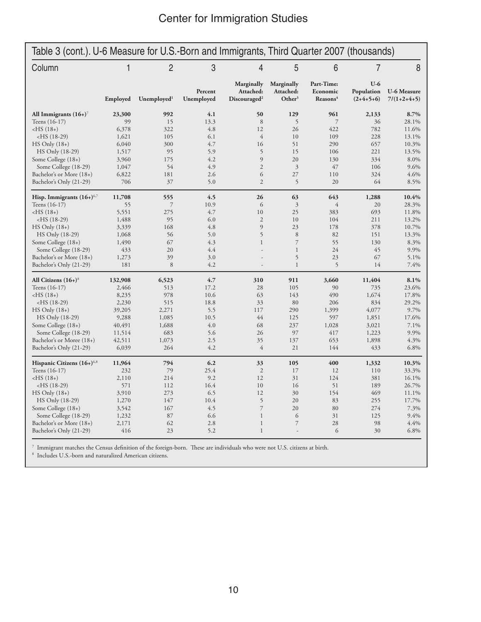| $\overline{2}$<br>3<br>5<br>Column<br>1<br>4<br>6<br>$\overline{7}$<br>8<br>$U-6$<br>Marginally<br>Marginally<br>Part-Time:<br>Attached:<br>Attached:<br>Economic<br><b>U-6 Measure</b><br>Percent<br>Population<br>Other <sup>3</sup><br>Employed<br>Unemployed <sup>1</sup><br>Unemployed<br>Discourad <sup>2</sup><br>Reasons <sup>4</sup><br>$(2+4+5+6)$<br>$7/(1+2+4+5)$<br>992<br>4.1<br>129<br>8.7%<br>All Immigrants $(16+)$ <sup>7</sup><br>23,300<br>50<br>961<br>2,133<br>Teens (16-17)<br>99<br>15<br>13.3<br>8<br>5<br>$\overline{7}$<br>36<br>28.1%<br>4.8<br>26<br>$-HS(18+)$<br>6,378<br>322<br>12<br>422<br>782<br>11.6%<br>$\overline{4}$<br>$-HS(18-29)$<br>1,621<br>105<br>6.1<br>10<br>109<br>228<br>13.1%<br>4.7<br>51<br>290<br>657<br>10.3%<br>$HS$ Only $(18+)$<br>6,040<br>300<br>16<br>95<br>5.9<br>5<br>15<br>106<br>221<br>HS Only (18-29)<br>1,517<br>13.5%<br>3,960<br>4.2<br>9<br>20<br>8.0%<br>Some College (18+)<br>175<br>130<br>334<br>54<br>$\overline{2}$<br>$\mathfrak{Z}$<br>47<br>Some College (18-29)<br>4.9<br>106<br>9.6%<br>1,047<br>Bachelor's or More (18+)<br>6,822<br>181<br>6<br>27<br>110<br>324<br>4.6%<br>2.6<br>Bachelor's Only (21-29)<br>706<br>37<br>5.0<br>$\overline{2}$<br>5<br>20<br>64<br>8.5%<br>4.5<br>63<br>643<br>10.4%<br>Hisp. Immigrants $(16+)$ <sup>6,7</sup><br>11,708<br>555<br>26<br>1,288<br>$\mathfrak{Z}$<br>$\overline{4}$<br>28.3%<br>Teens (16-17)<br>55<br>7<br>10.9<br>6<br>20<br>5,551<br>275<br>4.7<br>10<br>25<br>693<br>11.8%<br>$-HS(18+)$<br>383<br>$-HS(18-29)$<br>1,488<br>95<br>6.0<br>$\mathfrak{2}$<br>10<br>104<br>211<br>13.2%<br>$\overline{9}$<br>168<br>4.8<br>23<br>178<br>378<br>10.7%<br>$HS$ Only $(18+)$<br>3,339<br>1,068<br>56<br>5.0<br>5<br>8<br>82<br>151<br>13.3%<br>HS Only (18-29)<br>$\overline{7}$<br>55<br>Some College (18+)<br>1,490<br>67<br>4.3<br>$\mathbf{1}$<br>130<br>8.3%<br>24<br>45<br>Some College (18-29)<br>433<br>20<br>4.4<br>$\mathbf{1}$<br>9.9%<br>5<br>23<br>67<br>Bachelor's or More (18+)<br>1,273<br>39<br>3.0<br>5.1%<br>5<br>8<br>4.2<br>Bachelor's Only (21-29)<br>181<br>$\mathbf{1}$<br>14<br>7.4%<br>$\overline{a}$<br>All Citizens $(16+)$ <sup>8</sup><br>132,908<br>6,523<br>4.7<br>310<br>911<br>3,660<br>11,404<br>8.1%<br>2,466<br>513<br>28<br>105<br>90<br>735<br>23.6%<br>Teens (16-17)<br>17.2<br>490<br>$-HS(18+)$<br>8,235<br>978<br>10.6<br>63<br>143<br>1,674<br>17.8%<br>$-HS(18-29)$<br>18.8<br>80<br>206<br>834<br>29.2%<br>2,230<br>515<br>33<br>290<br>9.7%<br>$HS$ Only $(18+)$<br>39,205<br>2,271<br>5.5<br>117<br>1,399<br>4,077<br>44<br>597<br>HS Only (18-29)<br>9,288<br>1,085<br>10.5<br>125<br>1,851<br>17.6%<br>68<br>1,028<br>Some College (18+)<br>40,491<br>1,688<br>4.0<br>237<br>3,021<br>7.1%<br>Some College (18-29)<br>11,514<br>683<br>26<br>97<br>417<br>9.9%<br>5.6<br>1,223<br>42,511<br>Bachelor's or Moree (18+)<br>1,073<br>2.5<br>35<br>137<br>653<br>1,898<br>4.3%<br>6,039<br>264<br>4.2<br>$\overline{4}$<br>21<br>144<br>433<br>6.8%<br>Bachelor's Only (21-29)<br>794<br>6.2<br>400<br>Hispanic Citizens $(16+)$ <sup>6,8</sup><br>11,964<br>33<br>105<br>1,332<br>10.3%<br>79<br>$\overline{2}$<br>17<br>Teens (16-17)<br>232<br>25.4<br>12<br>110<br>33.3%<br>$-HS(18+)$<br>2,110<br>214<br>9.2<br>12<br>31<br>124<br>381<br>16.1%<br>571<br>16.4<br>10<br>51<br>189<br>26.7%<br>$-HS(18-29)$<br>112<br>16<br>273<br>6.5<br>12<br>30<br>154<br>469<br>$HS$ Only $(18+)$<br>3,910<br>11.1%<br>5<br>20<br>HS Only (18-29)<br>1,270<br>147<br>10.4<br>83<br>255<br>17.7%<br>$\overline{7}$<br>Some College (18+)<br>3,542<br>167<br>4.5<br>20<br>80<br>274<br>7.3%<br>Some College (18-29)<br>1,232<br>87<br>$\mathbf{1}$<br>125<br>9.4%<br>6.6<br>6<br>31<br>$\overline{7}$<br>Bachelor's or More (18+)<br>62<br>2.8<br>$\mathbf{1}$<br>28<br>98<br>4.4%<br>2,171 | Table 3 (cont.). U-6 Measure for U.S.-Born and Immigrants, Third Quarter 2007 (thousands) |  |  |  |  |  |  |  |  |
|--------------------------------------------------------------------------------------------------------------------------------------------------------------------------------------------------------------------------------------------------------------------------------------------------------------------------------------------------------------------------------------------------------------------------------------------------------------------------------------------------------------------------------------------------------------------------------------------------------------------------------------------------------------------------------------------------------------------------------------------------------------------------------------------------------------------------------------------------------------------------------------------------------------------------------------------------------------------------------------------------------------------------------------------------------------------------------------------------------------------------------------------------------------------------------------------------------------------------------------------------------------------------------------------------------------------------------------------------------------------------------------------------------------------------------------------------------------------------------------------------------------------------------------------------------------------------------------------------------------------------------------------------------------------------------------------------------------------------------------------------------------------------------------------------------------------------------------------------------------------------------------------------------------------------------------------------------------------------------------------------------------------------------------------------------------------------------------------------------------------------------------------------------------------------------------------------------------------------------------------------------------------------------------------------------------------------------------------------------------------------------------------------------------------------------------------------------------------------------------------------------------------------------------------------------------------------------------------------------------------------------------------------------------------------------------------------------------------------------------------------------------------------------------------------------------------------------------------------------------------------------------------------------------------------------------------------------------------------------------------------------------------------------------------------------------------------------------------------------------------------------------------------------------------------------------------------------------------------------------------------------------------------------------------------------------------------------------------------------------------------------------------------------------------------------------------------------------------------------------------------------------------------------------------------------------------------------------------------------------------------------------------------------------------------------------------------------------------------------------------------------------------------------------------------------------------------------------------------------------------|-------------------------------------------------------------------------------------------|--|--|--|--|--|--|--|--|
|                                                                                                                                                                                                                                                                                                                                                                                                                                                                                                                                                                                                                                                                                                                                                                                                                                                                                                                                                                                                                                                                                                                                                                                                                                                                                                                                                                                                                                                                                                                                                                                                                                                                                                                                                                                                                                                                                                                                                                                                                                                                                                                                                                                                                                                                                                                                                                                                                                                                                                                                                                                                                                                                                                                                                                                                                                                                                                                                                                                                                                                                                                                                                                                                                                                                                                                                                                                                                                                                                                                                                                                                                                                                                                                                                                                                                                                                    |                                                                                           |  |  |  |  |  |  |  |  |
|                                                                                                                                                                                                                                                                                                                                                                                                                                                                                                                                                                                                                                                                                                                                                                                                                                                                                                                                                                                                                                                                                                                                                                                                                                                                                                                                                                                                                                                                                                                                                                                                                                                                                                                                                                                                                                                                                                                                                                                                                                                                                                                                                                                                                                                                                                                                                                                                                                                                                                                                                                                                                                                                                                                                                                                                                                                                                                                                                                                                                                                                                                                                                                                                                                                                                                                                                                                                                                                                                                                                                                                                                                                                                                                                                                                                                                                                    |                                                                                           |  |  |  |  |  |  |  |  |
|                                                                                                                                                                                                                                                                                                                                                                                                                                                                                                                                                                                                                                                                                                                                                                                                                                                                                                                                                                                                                                                                                                                                                                                                                                                                                                                                                                                                                                                                                                                                                                                                                                                                                                                                                                                                                                                                                                                                                                                                                                                                                                                                                                                                                                                                                                                                                                                                                                                                                                                                                                                                                                                                                                                                                                                                                                                                                                                                                                                                                                                                                                                                                                                                                                                                                                                                                                                                                                                                                                                                                                                                                                                                                                                                                                                                                                                                    |                                                                                           |  |  |  |  |  |  |  |  |
|                                                                                                                                                                                                                                                                                                                                                                                                                                                                                                                                                                                                                                                                                                                                                                                                                                                                                                                                                                                                                                                                                                                                                                                                                                                                                                                                                                                                                                                                                                                                                                                                                                                                                                                                                                                                                                                                                                                                                                                                                                                                                                                                                                                                                                                                                                                                                                                                                                                                                                                                                                                                                                                                                                                                                                                                                                                                                                                                                                                                                                                                                                                                                                                                                                                                                                                                                                                                                                                                                                                                                                                                                                                                                                                                                                                                                                                                    |                                                                                           |  |  |  |  |  |  |  |  |
|                                                                                                                                                                                                                                                                                                                                                                                                                                                                                                                                                                                                                                                                                                                                                                                                                                                                                                                                                                                                                                                                                                                                                                                                                                                                                                                                                                                                                                                                                                                                                                                                                                                                                                                                                                                                                                                                                                                                                                                                                                                                                                                                                                                                                                                                                                                                                                                                                                                                                                                                                                                                                                                                                                                                                                                                                                                                                                                                                                                                                                                                                                                                                                                                                                                                                                                                                                                                                                                                                                                                                                                                                                                                                                                                                                                                                                                                    |                                                                                           |  |  |  |  |  |  |  |  |
|                                                                                                                                                                                                                                                                                                                                                                                                                                                                                                                                                                                                                                                                                                                                                                                                                                                                                                                                                                                                                                                                                                                                                                                                                                                                                                                                                                                                                                                                                                                                                                                                                                                                                                                                                                                                                                                                                                                                                                                                                                                                                                                                                                                                                                                                                                                                                                                                                                                                                                                                                                                                                                                                                                                                                                                                                                                                                                                                                                                                                                                                                                                                                                                                                                                                                                                                                                                                                                                                                                                                                                                                                                                                                                                                                                                                                                                                    |                                                                                           |  |  |  |  |  |  |  |  |
|                                                                                                                                                                                                                                                                                                                                                                                                                                                                                                                                                                                                                                                                                                                                                                                                                                                                                                                                                                                                                                                                                                                                                                                                                                                                                                                                                                                                                                                                                                                                                                                                                                                                                                                                                                                                                                                                                                                                                                                                                                                                                                                                                                                                                                                                                                                                                                                                                                                                                                                                                                                                                                                                                                                                                                                                                                                                                                                                                                                                                                                                                                                                                                                                                                                                                                                                                                                                                                                                                                                                                                                                                                                                                                                                                                                                                                                                    |                                                                                           |  |  |  |  |  |  |  |  |
|                                                                                                                                                                                                                                                                                                                                                                                                                                                                                                                                                                                                                                                                                                                                                                                                                                                                                                                                                                                                                                                                                                                                                                                                                                                                                                                                                                                                                                                                                                                                                                                                                                                                                                                                                                                                                                                                                                                                                                                                                                                                                                                                                                                                                                                                                                                                                                                                                                                                                                                                                                                                                                                                                                                                                                                                                                                                                                                                                                                                                                                                                                                                                                                                                                                                                                                                                                                                                                                                                                                                                                                                                                                                                                                                                                                                                                                                    |                                                                                           |  |  |  |  |  |  |  |  |
|                                                                                                                                                                                                                                                                                                                                                                                                                                                                                                                                                                                                                                                                                                                                                                                                                                                                                                                                                                                                                                                                                                                                                                                                                                                                                                                                                                                                                                                                                                                                                                                                                                                                                                                                                                                                                                                                                                                                                                                                                                                                                                                                                                                                                                                                                                                                                                                                                                                                                                                                                                                                                                                                                                                                                                                                                                                                                                                                                                                                                                                                                                                                                                                                                                                                                                                                                                                                                                                                                                                                                                                                                                                                                                                                                                                                                                                                    |                                                                                           |  |  |  |  |  |  |  |  |
|                                                                                                                                                                                                                                                                                                                                                                                                                                                                                                                                                                                                                                                                                                                                                                                                                                                                                                                                                                                                                                                                                                                                                                                                                                                                                                                                                                                                                                                                                                                                                                                                                                                                                                                                                                                                                                                                                                                                                                                                                                                                                                                                                                                                                                                                                                                                                                                                                                                                                                                                                                                                                                                                                                                                                                                                                                                                                                                                                                                                                                                                                                                                                                                                                                                                                                                                                                                                                                                                                                                                                                                                                                                                                                                                                                                                                                                                    |                                                                                           |  |  |  |  |  |  |  |  |
|                                                                                                                                                                                                                                                                                                                                                                                                                                                                                                                                                                                                                                                                                                                                                                                                                                                                                                                                                                                                                                                                                                                                                                                                                                                                                                                                                                                                                                                                                                                                                                                                                                                                                                                                                                                                                                                                                                                                                                                                                                                                                                                                                                                                                                                                                                                                                                                                                                                                                                                                                                                                                                                                                                                                                                                                                                                                                                                                                                                                                                                                                                                                                                                                                                                                                                                                                                                                                                                                                                                                                                                                                                                                                                                                                                                                                                                                    |                                                                                           |  |  |  |  |  |  |  |  |
|                                                                                                                                                                                                                                                                                                                                                                                                                                                                                                                                                                                                                                                                                                                                                                                                                                                                                                                                                                                                                                                                                                                                                                                                                                                                                                                                                                                                                                                                                                                                                                                                                                                                                                                                                                                                                                                                                                                                                                                                                                                                                                                                                                                                                                                                                                                                                                                                                                                                                                                                                                                                                                                                                                                                                                                                                                                                                                                                                                                                                                                                                                                                                                                                                                                                                                                                                                                                                                                                                                                                                                                                                                                                                                                                                                                                                                                                    |                                                                                           |  |  |  |  |  |  |  |  |
|                                                                                                                                                                                                                                                                                                                                                                                                                                                                                                                                                                                                                                                                                                                                                                                                                                                                                                                                                                                                                                                                                                                                                                                                                                                                                                                                                                                                                                                                                                                                                                                                                                                                                                                                                                                                                                                                                                                                                                                                                                                                                                                                                                                                                                                                                                                                                                                                                                                                                                                                                                                                                                                                                                                                                                                                                                                                                                                                                                                                                                                                                                                                                                                                                                                                                                                                                                                                                                                                                                                                                                                                                                                                                                                                                                                                                                                                    |                                                                                           |  |  |  |  |  |  |  |  |
|                                                                                                                                                                                                                                                                                                                                                                                                                                                                                                                                                                                                                                                                                                                                                                                                                                                                                                                                                                                                                                                                                                                                                                                                                                                                                                                                                                                                                                                                                                                                                                                                                                                                                                                                                                                                                                                                                                                                                                                                                                                                                                                                                                                                                                                                                                                                                                                                                                                                                                                                                                                                                                                                                                                                                                                                                                                                                                                                                                                                                                                                                                                                                                                                                                                                                                                                                                                                                                                                                                                                                                                                                                                                                                                                                                                                                                                                    |                                                                                           |  |  |  |  |  |  |  |  |
|                                                                                                                                                                                                                                                                                                                                                                                                                                                                                                                                                                                                                                                                                                                                                                                                                                                                                                                                                                                                                                                                                                                                                                                                                                                                                                                                                                                                                                                                                                                                                                                                                                                                                                                                                                                                                                                                                                                                                                                                                                                                                                                                                                                                                                                                                                                                                                                                                                                                                                                                                                                                                                                                                                                                                                                                                                                                                                                                                                                                                                                                                                                                                                                                                                                                                                                                                                                                                                                                                                                                                                                                                                                                                                                                                                                                                                                                    |                                                                                           |  |  |  |  |  |  |  |  |
|                                                                                                                                                                                                                                                                                                                                                                                                                                                                                                                                                                                                                                                                                                                                                                                                                                                                                                                                                                                                                                                                                                                                                                                                                                                                                                                                                                                                                                                                                                                                                                                                                                                                                                                                                                                                                                                                                                                                                                                                                                                                                                                                                                                                                                                                                                                                                                                                                                                                                                                                                                                                                                                                                                                                                                                                                                                                                                                                                                                                                                                                                                                                                                                                                                                                                                                                                                                                                                                                                                                                                                                                                                                                                                                                                                                                                                                                    |                                                                                           |  |  |  |  |  |  |  |  |
|                                                                                                                                                                                                                                                                                                                                                                                                                                                                                                                                                                                                                                                                                                                                                                                                                                                                                                                                                                                                                                                                                                                                                                                                                                                                                                                                                                                                                                                                                                                                                                                                                                                                                                                                                                                                                                                                                                                                                                                                                                                                                                                                                                                                                                                                                                                                                                                                                                                                                                                                                                                                                                                                                                                                                                                                                                                                                                                                                                                                                                                                                                                                                                                                                                                                                                                                                                                                                                                                                                                                                                                                                                                                                                                                                                                                                                                                    |                                                                                           |  |  |  |  |  |  |  |  |
|                                                                                                                                                                                                                                                                                                                                                                                                                                                                                                                                                                                                                                                                                                                                                                                                                                                                                                                                                                                                                                                                                                                                                                                                                                                                                                                                                                                                                                                                                                                                                                                                                                                                                                                                                                                                                                                                                                                                                                                                                                                                                                                                                                                                                                                                                                                                                                                                                                                                                                                                                                                                                                                                                                                                                                                                                                                                                                                                                                                                                                                                                                                                                                                                                                                                                                                                                                                                                                                                                                                                                                                                                                                                                                                                                                                                                                                                    |                                                                                           |  |  |  |  |  |  |  |  |
|                                                                                                                                                                                                                                                                                                                                                                                                                                                                                                                                                                                                                                                                                                                                                                                                                                                                                                                                                                                                                                                                                                                                                                                                                                                                                                                                                                                                                                                                                                                                                                                                                                                                                                                                                                                                                                                                                                                                                                                                                                                                                                                                                                                                                                                                                                                                                                                                                                                                                                                                                                                                                                                                                                                                                                                                                                                                                                                                                                                                                                                                                                                                                                                                                                                                                                                                                                                                                                                                                                                                                                                                                                                                                                                                                                                                                                                                    |                                                                                           |  |  |  |  |  |  |  |  |
|                                                                                                                                                                                                                                                                                                                                                                                                                                                                                                                                                                                                                                                                                                                                                                                                                                                                                                                                                                                                                                                                                                                                                                                                                                                                                                                                                                                                                                                                                                                                                                                                                                                                                                                                                                                                                                                                                                                                                                                                                                                                                                                                                                                                                                                                                                                                                                                                                                                                                                                                                                                                                                                                                                                                                                                                                                                                                                                                                                                                                                                                                                                                                                                                                                                                                                                                                                                                                                                                                                                                                                                                                                                                                                                                                                                                                                                                    |                                                                                           |  |  |  |  |  |  |  |  |
|                                                                                                                                                                                                                                                                                                                                                                                                                                                                                                                                                                                                                                                                                                                                                                                                                                                                                                                                                                                                                                                                                                                                                                                                                                                                                                                                                                                                                                                                                                                                                                                                                                                                                                                                                                                                                                                                                                                                                                                                                                                                                                                                                                                                                                                                                                                                                                                                                                                                                                                                                                                                                                                                                                                                                                                                                                                                                                                                                                                                                                                                                                                                                                                                                                                                                                                                                                                                                                                                                                                                                                                                                                                                                                                                                                                                                                                                    |                                                                                           |  |  |  |  |  |  |  |  |
|                                                                                                                                                                                                                                                                                                                                                                                                                                                                                                                                                                                                                                                                                                                                                                                                                                                                                                                                                                                                                                                                                                                                                                                                                                                                                                                                                                                                                                                                                                                                                                                                                                                                                                                                                                                                                                                                                                                                                                                                                                                                                                                                                                                                                                                                                                                                                                                                                                                                                                                                                                                                                                                                                                                                                                                                                                                                                                                                                                                                                                                                                                                                                                                                                                                                                                                                                                                                                                                                                                                                                                                                                                                                                                                                                                                                                                                                    |                                                                                           |  |  |  |  |  |  |  |  |
|                                                                                                                                                                                                                                                                                                                                                                                                                                                                                                                                                                                                                                                                                                                                                                                                                                                                                                                                                                                                                                                                                                                                                                                                                                                                                                                                                                                                                                                                                                                                                                                                                                                                                                                                                                                                                                                                                                                                                                                                                                                                                                                                                                                                                                                                                                                                                                                                                                                                                                                                                                                                                                                                                                                                                                                                                                                                                                                                                                                                                                                                                                                                                                                                                                                                                                                                                                                                                                                                                                                                                                                                                                                                                                                                                                                                                                                                    |                                                                                           |  |  |  |  |  |  |  |  |
|                                                                                                                                                                                                                                                                                                                                                                                                                                                                                                                                                                                                                                                                                                                                                                                                                                                                                                                                                                                                                                                                                                                                                                                                                                                                                                                                                                                                                                                                                                                                                                                                                                                                                                                                                                                                                                                                                                                                                                                                                                                                                                                                                                                                                                                                                                                                                                                                                                                                                                                                                                                                                                                                                                                                                                                                                                                                                                                                                                                                                                                                                                                                                                                                                                                                                                                                                                                                                                                                                                                                                                                                                                                                                                                                                                                                                                                                    |                                                                                           |  |  |  |  |  |  |  |  |
|                                                                                                                                                                                                                                                                                                                                                                                                                                                                                                                                                                                                                                                                                                                                                                                                                                                                                                                                                                                                                                                                                                                                                                                                                                                                                                                                                                                                                                                                                                                                                                                                                                                                                                                                                                                                                                                                                                                                                                                                                                                                                                                                                                                                                                                                                                                                                                                                                                                                                                                                                                                                                                                                                                                                                                                                                                                                                                                                                                                                                                                                                                                                                                                                                                                                                                                                                                                                                                                                                                                                                                                                                                                                                                                                                                                                                                                                    |                                                                                           |  |  |  |  |  |  |  |  |
|                                                                                                                                                                                                                                                                                                                                                                                                                                                                                                                                                                                                                                                                                                                                                                                                                                                                                                                                                                                                                                                                                                                                                                                                                                                                                                                                                                                                                                                                                                                                                                                                                                                                                                                                                                                                                                                                                                                                                                                                                                                                                                                                                                                                                                                                                                                                                                                                                                                                                                                                                                                                                                                                                                                                                                                                                                                                                                                                                                                                                                                                                                                                                                                                                                                                                                                                                                                                                                                                                                                                                                                                                                                                                                                                                                                                                                                                    |                                                                                           |  |  |  |  |  |  |  |  |
|                                                                                                                                                                                                                                                                                                                                                                                                                                                                                                                                                                                                                                                                                                                                                                                                                                                                                                                                                                                                                                                                                                                                                                                                                                                                                                                                                                                                                                                                                                                                                                                                                                                                                                                                                                                                                                                                                                                                                                                                                                                                                                                                                                                                                                                                                                                                                                                                                                                                                                                                                                                                                                                                                                                                                                                                                                                                                                                                                                                                                                                                                                                                                                                                                                                                                                                                                                                                                                                                                                                                                                                                                                                                                                                                                                                                                                                                    |                                                                                           |  |  |  |  |  |  |  |  |
|                                                                                                                                                                                                                                                                                                                                                                                                                                                                                                                                                                                                                                                                                                                                                                                                                                                                                                                                                                                                                                                                                                                                                                                                                                                                                                                                                                                                                                                                                                                                                                                                                                                                                                                                                                                                                                                                                                                                                                                                                                                                                                                                                                                                                                                                                                                                                                                                                                                                                                                                                                                                                                                                                                                                                                                                                                                                                                                                                                                                                                                                                                                                                                                                                                                                                                                                                                                                                                                                                                                                                                                                                                                                                                                                                                                                                                                                    |                                                                                           |  |  |  |  |  |  |  |  |
|                                                                                                                                                                                                                                                                                                                                                                                                                                                                                                                                                                                                                                                                                                                                                                                                                                                                                                                                                                                                                                                                                                                                                                                                                                                                                                                                                                                                                                                                                                                                                                                                                                                                                                                                                                                                                                                                                                                                                                                                                                                                                                                                                                                                                                                                                                                                                                                                                                                                                                                                                                                                                                                                                                                                                                                                                                                                                                                                                                                                                                                                                                                                                                                                                                                                                                                                                                                                                                                                                                                                                                                                                                                                                                                                                                                                                                                                    |                                                                                           |  |  |  |  |  |  |  |  |
|                                                                                                                                                                                                                                                                                                                                                                                                                                                                                                                                                                                                                                                                                                                                                                                                                                                                                                                                                                                                                                                                                                                                                                                                                                                                                                                                                                                                                                                                                                                                                                                                                                                                                                                                                                                                                                                                                                                                                                                                                                                                                                                                                                                                                                                                                                                                                                                                                                                                                                                                                                                                                                                                                                                                                                                                                                                                                                                                                                                                                                                                                                                                                                                                                                                                                                                                                                                                                                                                                                                                                                                                                                                                                                                                                                                                                                                                    |                                                                                           |  |  |  |  |  |  |  |  |
|                                                                                                                                                                                                                                                                                                                                                                                                                                                                                                                                                                                                                                                                                                                                                                                                                                                                                                                                                                                                                                                                                                                                                                                                                                                                                                                                                                                                                                                                                                                                                                                                                                                                                                                                                                                                                                                                                                                                                                                                                                                                                                                                                                                                                                                                                                                                                                                                                                                                                                                                                                                                                                                                                                                                                                                                                                                                                                                                                                                                                                                                                                                                                                                                                                                                                                                                                                                                                                                                                                                                                                                                                                                                                                                                                                                                                                                                    |                                                                                           |  |  |  |  |  |  |  |  |
|                                                                                                                                                                                                                                                                                                                                                                                                                                                                                                                                                                                                                                                                                                                                                                                                                                                                                                                                                                                                                                                                                                                                                                                                                                                                                                                                                                                                                                                                                                                                                                                                                                                                                                                                                                                                                                                                                                                                                                                                                                                                                                                                                                                                                                                                                                                                                                                                                                                                                                                                                                                                                                                                                                                                                                                                                                                                                                                                                                                                                                                                                                                                                                                                                                                                                                                                                                                                                                                                                                                                                                                                                                                                                                                                                                                                                                                                    |                                                                                           |  |  |  |  |  |  |  |  |
|                                                                                                                                                                                                                                                                                                                                                                                                                                                                                                                                                                                                                                                                                                                                                                                                                                                                                                                                                                                                                                                                                                                                                                                                                                                                                                                                                                                                                                                                                                                                                                                                                                                                                                                                                                                                                                                                                                                                                                                                                                                                                                                                                                                                                                                                                                                                                                                                                                                                                                                                                                                                                                                                                                                                                                                                                                                                                                                                                                                                                                                                                                                                                                                                                                                                                                                                                                                                                                                                                                                                                                                                                                                                                                                                                                                                                                                                    |                                                                                           |  |  |  |  |  |  |  |  |
|                                                                                                                                                                                                                                                                                                                                                                                                                                                                                                                                                                                                                                                                                                                                                                                                                                                                                                                                                                                                                                                                                                                                                                                                                                                                                                                                                                                                                                                                                                                                                                                                                                                                                                                                                                                                                                                                                                                                                                                                                                                                                                                                                                                                                                                                                                                                                                                                                                                                                                                                                                                                                                                                                                                                                                                                                                                                                                                                                                                                                                                                                                                                                                                                                                                                                                                                                                                                                                                                                                                                                                                                                                                                                                                                                                                                                                                                    |                                                                                           |  |  |  |  |  |  |  |  |
|                                                                                                                                                                                                                                                                                                                                                                                                                                                                                                                                                                                                                                                                                                                                                                                                                                                                                                                                                                                                                                                                                                                                                                                                                                                                                                                                                                                                                                                                                                                                                                                                                                                                                                                                                                                                                                                                                                                                                                                                                                                                                                                                                                                                                                                                                                                                                                                                                                                                                                                                                                                                                                                                                                                                                                                                                                                                                                                                                                                                                                                                                                                                                                                                                                                                                                                                                                                                                                                                                                                                                                                                                                                                                                                                                                                                                                                                    |                                                                                           |  |  |  |  |  |  |  |  |
|                                                                                                                                                                                                                                                                                                                                                                                                                                                                                                                                                                                                                                                                                                                                                                                                                                                                                                                                                                                                                                                                                                                                                                                                                                                                                                                                                                                                                                                                                                                                                                                                                                                                                                                                                                                                                                                                                                                                                                                                                                                                                                                                                                                                                                                                                                                                                                                                                                                                                                                                                                                                                                                                                                                                                                                                                                                                                                                                                                                                                                                                                                                                                                                                                                                                                                                                                                                                                                                                                                                                                                                                                                                                                                                                                                                                                                                                    |                                                                                           |  |  |  |  |  |  |  |  |
|                                                                                                                                                                                                                                                                                                                                                                                                                                                                                                                                                                                                                                                                                                                                                                                                                                                                                                                                                                                                                                                                                                                                                                                                                                                                                                                                                                                                                                                                                                                                                                                                                                                                                                                                                                                                                                                                                                                                                                                                                                                                                                                                                                                                                                                                                                                                                                                                                                                                                                                                                                                                                                                                                                                                                                                                                                                                                                                                                                                                                                                                                                                                                                                                                                                                                                                                                                                                                                                                                                                                                                                                                                                                                                                                                                                                                                                                    |                                                                                           |  |  |  |  |  |  |  |  |
|                                                                                                                                                                                                                                                                                                                                                                                                                                                                                                                                                                                                                                                                                                                                                                                                                                                                                                                                                                                                                                                                                                                                                                                                                                                                                                                                                                                                                                                                                                                                                                                                                                                                                                                                                                                                                                                                                                                                                                                                                                                                                                                                                                                                                                                                                                                                                                                                                                                                                                                                                                                                                                                                                                                                                                                                                                                                                                                                                                                                                                                                                                                                                                                                                                                                                                                                                                                                                                                                                                                                                                                                                                                                                                                                                                                                                                                                    |                                                                                           |  |  |  |  |  |  |  |  |
|                                                                                                                                                                                                                                                                                                                                                                                                                                                                                                                                                                                                                                                                                                                                                                                                                                                                                                                                                                                                                                                                                                                                                                                                                                                                                                                                                                                                                                                                                                                                                                                                                                                                                                                                                                                                                                                                                                                                                                                                                                                                                                                                                                                                                                                                                                                                                                                                                                                                                                                                                                                                                                                                                                                                                                                                                                                                                                                                                                                                                                                                                                                                                                                                                                                                                                                                                                                                                                                                                                                                                                                                                                                                                                                                                                                                                                                                    |                                                                                           |  |  |  |  |  |  |  |  |
|                                                                                                                                                                                                                                                                                                                                                                                                                                                                                                                                                                                                                                                                                                                                                                                                                                                                                                                                                                                                                                                                                                                                                                                                                                                                                                                                                                                                                                                                                                                                                                                                                                                                                                                                                                                                                                                                                                                                                                                                                                                                                                                                                                                                                                                                                                                                                                                                                                                                                                                                                                                                                                                                                                                                                                                                                                                                                                                                                                                                                                                                                                                                                                                                                                                                                                                                                                                                                                                                                                                                                                                                                                                                                                                                                                                                                                                                    |                                                                                           |  |  |  |  |  |  |  |  |
|                                                                                                                                                                                                                                                                                                                                                                                                                                                                                                                                                                                                                                                                                                                                                                                                                                                                                                                                                                                                                                                                                                                                                                                                                                                                                                                                                                                                                                                                                                                                                                                                                                                                                                                                                                                                                                                                                                                                                                                                                                                                                                                                                                                                                                                                                                                                                                                                                                                                                                                                                                                                                                                                                                                                                                                                                                                                                                                                                                                                                                                                                                                                                                                                                                                                                                                                                                                                                                                                                                                                                                                                                                                                                                                                                                                                                                                                    |                                                                                           |  |  |  |  |  |  |  |  |
| 416<br>5.2<br>6<br>Bachelor's Only (21-29)<br>23<br>$\mathbf{1}$<br>30<br>6.8%<br>L,                                                                                                                                                                                                                                                                                                                                                                                                                                                                                                                                                                                                                                                                                                                                                                                                                                                                                                                                                                                                                                                                                                                                                                                                                                                                                                                                                                                                                                                                                                                                                                                                                                                                                                                                                                                                                                                                                                                                                                                                                                                                                                                                                                                                                                                                                                                                                                                                                                                                                                                                                                                                                                                                                                                                                                                                                                                                                                                                                                                                                                                                                                                                                                                                                                                                                                                                                                                                                                                                                                                                                                                                                                                                                                                                                                               |                                                                                           |  |  |  |  |  |  |  |  |

 $^7$  Immigrant matches the Census definition of the foreign-born. These are individuals who were not U.S. citizens at birth.  $^8$  Includes U.S.-born and naturalized American citizens.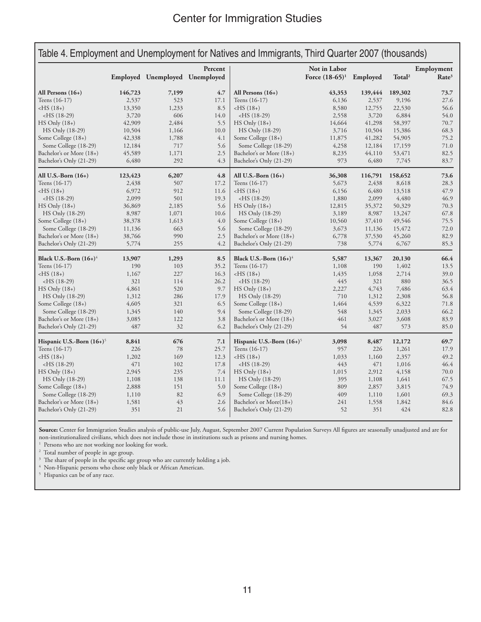|                                                  |                | Employed Unemployed Unemployed | Percent    |                                                 | Not in Labor<br>Force $(18-65)^1$ | Employed       | Total <sup>2</sup> | Employment<br>Rate <sup>3</sup> |
|--------------------------------------------------|----------------|--------------------------------|------------|-------------------------------------------------|-----------------------------------|----------------|--------------------|---------------------------------|
|                                                  |                |                                |            |                                                 |                                   |                |                    |                                 |
| All Persons $(16+)$                              | 146,723        | 7,199                          | 4.7        | All Persons $(16+)$                             | 43,353                            | 139,444        | 189,302            | 73.7                            |
| Teens (16-17)                                    | 2,537          | 523                            | 17.1       | Teens (16-17)                                   | 6,136                             | 2,537          | 9,196              | 27.6                            |
| $-HS(18+)$                                       | 13,350         | 1,233                          | 8.5        | $-HS(18+)$                                      | 8,580                             | 12,755         | 22,530             | 56.6                            |
| $-HS(18-29)$                                     | 3,720          | 606                            | 14.0       | $-HS(18-29)$                                    | 2,558                             | 3,720          | 6,884              | 54.0                            |
| $HS$ Only $(18+)$                                | 42,909         | 2,484                          | 5.5        | $HS$ Only $(18+)$                               | 14,664                            | 41,298         | 58,397             | 70.7                            |
| HS Only (18-29)                                  | 10,504         | 1,166                          | 10.0       | HS Only (18-29)                                 | 3,716                             | 10,504         | 15,386             | 68.3                            |
| Some College (18+)                               | 42,338         | 1,788                          | 4.1        | Some College (18+)                              | 11,875                            | 41,282         | 54,905             | 75.2                            |
| Some College (18-29)                             | 12,184         | 717                            | 5.6        | Some College (18-29)                            | 4,258                             | 12,184         | 17,159             | 71.0                            |
| Bachelor's or More (18+)                         | 45,589         | 1,171                          | 2.5        | Bachelor's or More (18+)                        | 8,235                             | 44,110         | 53,471             | 82.5                            |
| Bachelor's Only (21-29)                          | 6,480          | 292                            | 4.3        | Bachelor's Only (21-29)                         | 973                               | 6,480          | 7,745              | 83.7                            |
| All U.S.-Born $(16+)$                            | 123,423        | 6,207                          | 4.8        | All U.S.-Born $(16+)$                           | 36,308                            | 116,791        | 158,652            | 73.6                            |
| Teens (16-17)                                    | 2,438          | 507                            | 17.2       | Teens (16-17)                                   | 5,673                             | 2,438          | 8,618              | 28.3                            |
| $-HS(18+)$                                       | 6,972          | 912                            | 11.6       | $-HS(18+)$                                      | 6,156                             | 6,480          | 13,518             | 47.9                            |
| $-HS(18-29)$                                     | 2,099          | 501                            | 19.3       | $-HS(18-29)$                                    | 1,880                             | 2,099          | 4,480              | 46.9                            |
| $HS$ Only $(18+)$                                | 36,869         | 2,185                          | 5.6        | $HS$ Only $(18+)$                               | 12,815                            | 35,372         | 50,329             | 70.3                            |
| HS Only (18-29)                                  | 8,987          | 1,071                          | 10.6       | HS Only (18-29)                                 | 3,189                             | 8,987          | 13,247             | 67.8                            |
| Some College (18+)                               | 38,378         | 1,613                          | 4.0        | Some College (18+)                              | 10,560                            | 37,410         | 49,546             | 75.5                            |
| Some College (18-29)                             | 11,136         | 663                            | 5.6        | Some College (18-29)                            | 3,673                             | 11,136         | 15,472             | 72.0                            |
| Bachelor's or More (18+)                         | 38,766         | 990                            | 2.5        | Bachelor's or More (18+)                        | 6,778                             | 37,530         | 45,260             | 82.9                            |
| Bachelor's Only (21-29)                          | 5,774          | 255                            | 4.2        | Bachelor's Only (21-29)                         | 738                               | 5,774          | 6,767              | 85.3                            |
| Black U.S.-Born $(16+)$ <sup>4</sup>             | 13,907         | 1,293                          | 8.5        | Black U.S.-Born $(16+)$ <sup>4</sup>            | 5,587                             | 13,367         | 20,130             | 66.4                            |
| Teens (16-17)                                    | 190            | 103                            | 35.2       | Teens (16-17)                                   | 1,108                             | 190            | 1,402              | 13.5                            |
| $-HS(18+)$                                       | 1,167          | 227                            | 16.3       | $-HS(18+)$                                      | 1,435                             | 1,058          | 2,714              | 39.0                            |
| $-HS(18-29)$                                     | 321            | 114                            | 26.2       | $-HS(18-29)$                                    | 445                               | 321            | 880                | 36.5                            |
| $HS$ Only $(18+)$                                | 4,861          | 520                            | 9.7        | $HS$ Only $(18+)$                               | 2,227                             | 4,743          | 7,486              | 63.4                            |
| HS Only (18-29)                                  | 1,312          | 286                            | 17.9       | HS Only (18-29)                                 | 710                               | 1,312          | 2,308              | 56.8                            |
| Some College (18+)                               | 4,605          | 321                            | 6.5        | Some College (18+)                              | 1,464                             | 4,539          | 6,322              | 71.8                            |
| Some College (18-29)                             | 1,345          | 140                            | 9.4        | Some College (18-29)                            | 548                               | 1,345          | 2,033              | 66.2                            |
| Bachelor's or More (18+)                         | 3,085          | 122                            | 3.8        | Bachelor's or More (18+)                        | 461                               | 3,027          | 3,608              | 83.9                            |
| Bachelor's Only (21-29)                          | 487            | 32                             | 6.2        | Bachelor's Only (21-29)                         | 54                                | 487            | 573                | 85.0                            |
| Hispanic U.S.-Born $(16+)$ <sup>5</sup>          | 8,841          | 676                            | 7.1        | Hispanic U.S.-Born $(16+)$ <sup>5</sup>         | 3,098                             | 8,487          | 12,172             | 69.7                            |
| Teens (16-17)                                    | 226            | 78                             | 25.7       | Teens (16-17)                                   | 957                               | 226            | 1,261              | 17.9                            |
| $-HS(18+)$                                       | 1,202          | 169                            | 12.3       | $-HS(18+)$                                      | 1,033                             | 1,160          | 2,357              | 49.2                            |
| $-HS(18-29)$                                     | 471            | 102                            | 17.8       | $-HS(18-29)$                                    | 443                               | 471            | 1,016              | 46.4                            |
| $HS$ Only $(18+)$                                | 2,945          | 235                            | 7.4        | $HS$ Only $(18+)$                               | 1,015                             | 2,912          | 4,158              | 70.0                            |
|                                                  | 1,108          | 138                            | 11.1       | HS Only (18-29)                                 | 395                               | 1,108          | 1,641              | 67.5                            |
|                                                  |                |                                |            |                                                 |                                   |                |                    |                                 |
| HS Only (18-29)                                  |                |                                |            |                                                 |                                   |                |                    |                                 |
| Some College (18+)                               | 2,888          | 151                            | 5.0        | Some College (18+)                              | 809                               | 2,857          | 3,815              | 74.9                            |
| Some College (18-29)<br>Bachelor's or More (18+) | 1,110<br>1,581 | 82<br>43                       | 6.9<br>2.6 | Some College (18-29)<br>Bachelor's or More(18+) | 409<br>241                        | 1,110<br>1,558 | 1,601<br>1,842     | 69.3<br>84.6                    |

**Source:** Center for Immigration Studies analysis of public-use July, August, September 2007 Current Population Surveys All figures are seasonally unadjusted and are for non-institutionalized civilians, which does not include those in institutions such as prisons and nursing homes. 1

 $^{\mathrm{1}}\,$  Persons who are not working nor looking for work.

<sup>2</sup> Total number of people in age group.

 $^{\rm 3}$  The share of people in the specific age group who are currently holding a job.

Non-Hispanic persons who chose only black or African American. 5

<sup>5</sup> Hispanics can be of any race.